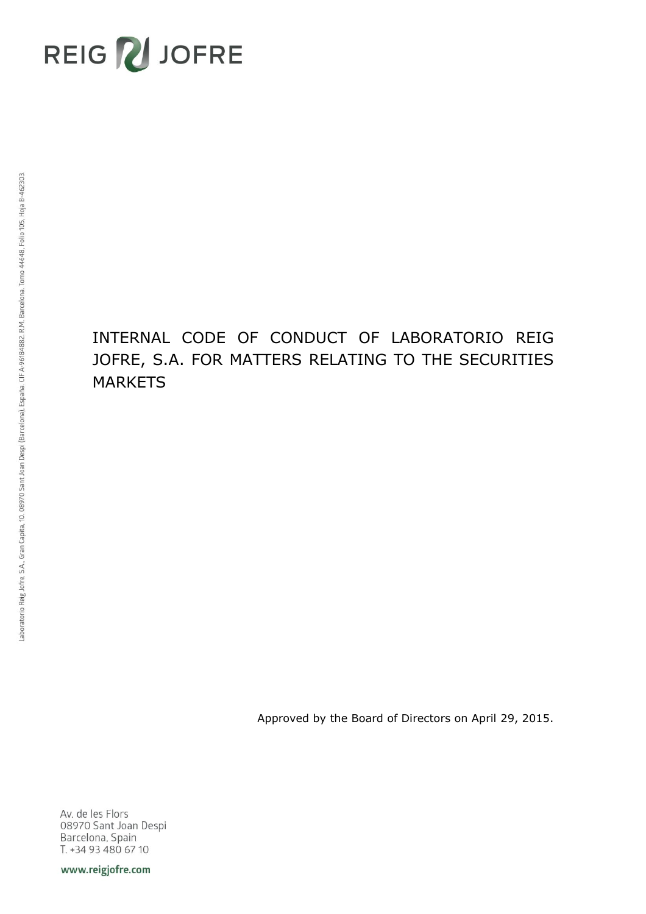

# INTERNAL CODE OF CONDUCT OF LABORATORIO REIG JOFRE, S.A. FOR MATTERS RELATING TO THE SECURITIES MARKETS

Approved by the Board of Directors on April 29, 2015.

Av. de les Flors 08970 Sant Joan Despi Barcelona, Spain T. +34 93 480 67 10

www.reigjofre.com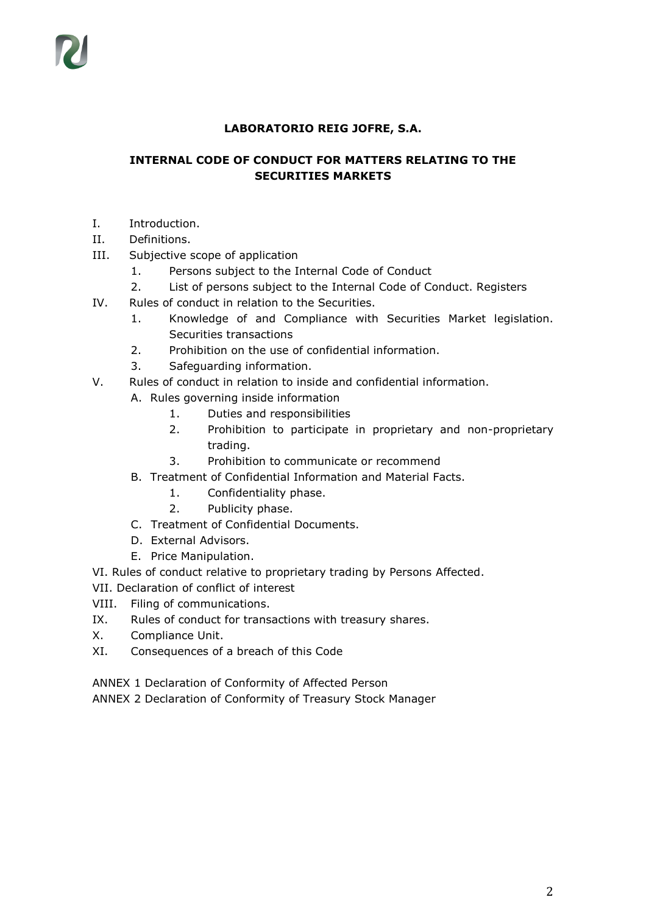# **LABORATORIO REIG JOFRE, S.A.**

# **INTERNAL CODE OF CONDUCT FOR MATTERS RELATING TO THE SECURITIES MARKETS**

- I. Introduction.
- II. Definitions.
- III. Subjective scope of application
	- 1. Persons subject to the Internal Code of Conduct
	- 2. List of persons subject to the Internal Code of Conduct. Registers
- IV. Rules of conduct in relation to the Securities.
	- 1. Knowledge of and Compliance with Securities Market legislation. Securities transactions
	- 2. Prohibition on the use of confidential information.
	- 3. Safeguarding information.
- V. Rules of conduct in relation to inside and confidential information.
	- A. Rules governing inside information
		- 1. Duties and responsibilities
		- 2. Prohibition to participate in proprietary and non-proprietary trading.
		- 3. Prohibition to communicate or recommend
	- B. Treatment of Confidential Information and Material Facts.
		- 1. Confidentiality phase.
		- 2. Publicity phase.
	- C. Treatment of Confidential Documents.
	- D. External Advisors.
	- E. Price Manipulation.
- VI. Rules of conduct relative to proprietary trading by Persons Affected.
- VII. Declaration of conflict of interest
- VIII. Filing of communications.
- IX. Rules of conduct for transactions with treasury shares.
- X. Compliance Unit.
- XI. Consequences of a breach of this Code

ANNEX 1 Declaration of Conformity of Affected Person

ANNEX 2 Declaration of Conformity of Treasury Stock Manager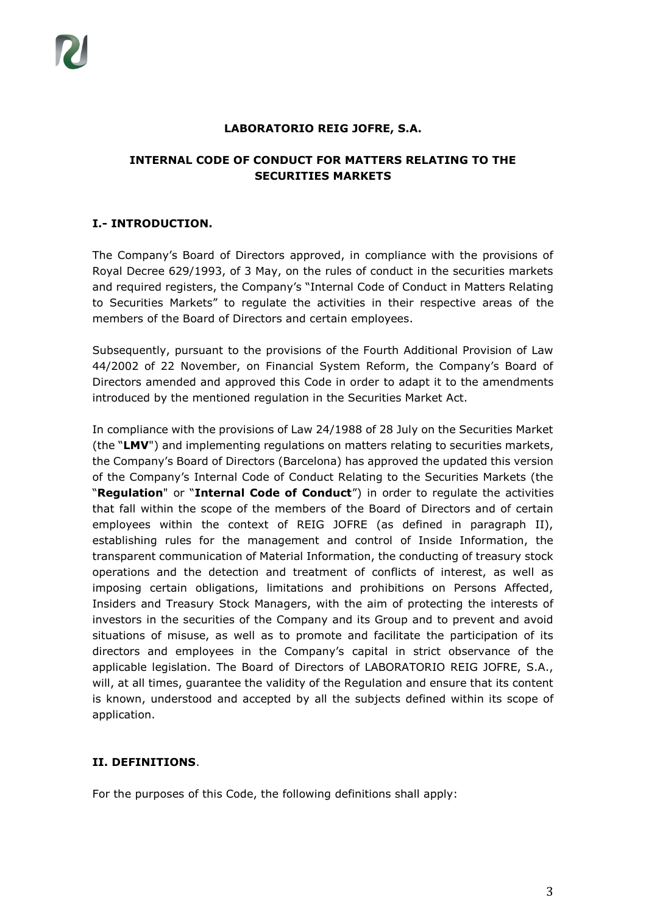#### **LABORATORIO REIG JOFRE, S.A.**

# **INTERNAL CODE OF CONDUCT FOR MATTERS RELATING TO THE SECURITIES MARKETS**

## **I.- INTRODUCTION.**

The Company's Board of Directors approved, in compliance with the provisions of Royal Decree 629/1993, of 3 May, on the rules of conduct in the securities markets and required registers, the Company's "Internal Code of Conduct in Matters Relating to Securities Markets" to regulate the activities in their respective areas of the members of the Board of Directors and certain employees.

Subsequently, pursuant to the provisions of the Fourth Additional Provision of Law 44/2002 of 22 November, on Financial System Reform, the Company's Board of Directors amended and approved this Code in order to adapt it to the amendments introduced by the mentioned regulation in the Securities Market Act.

In compliance with the provisions of Law 24/1988 of 28 July on the Securities Market (the "**LMV**") and implementing regulations on matters relating to securities markets, the Company's Board of Directors (Barcelona) has approved the updated this version of the Company's Internal Code of Conduct Relating to the Securities Markets (the "**Regulation**" or "**Internal Code of Conduct**") in order to regulate the activities that fall within the scope of the members of the Board of Directors and of certain employees within the context of REIG JOFRE (as defined in paragraph II), establishing rules for the management and control of Inside Information, the transparent communication of Material Information, the conducting of treasury stock operations and the detection and treatment of conflicts of interest, as well as imposing certain obligations, limitations and prohibitions on Persons Affected, Insiders and Treasury Stock Managers, with the aim of protecting the interests of investors in the securities of the Company and its Group and to prevent and avoid situations of misuse, as well as to promote and facilitate the participation of its directors and employees in the Company's capital in strict observance of the applicable legislation. The Board of Directors of LABORATORIO REIG JOFRE, S.A., will, at all times, guarantee the validity of the Regulation and ensure that its content is known, understood and accepted by all the subjects defined within its scope of application.

## **II. DEFINITIONS**.

For the purposes of this Code, the following definitions shall apply: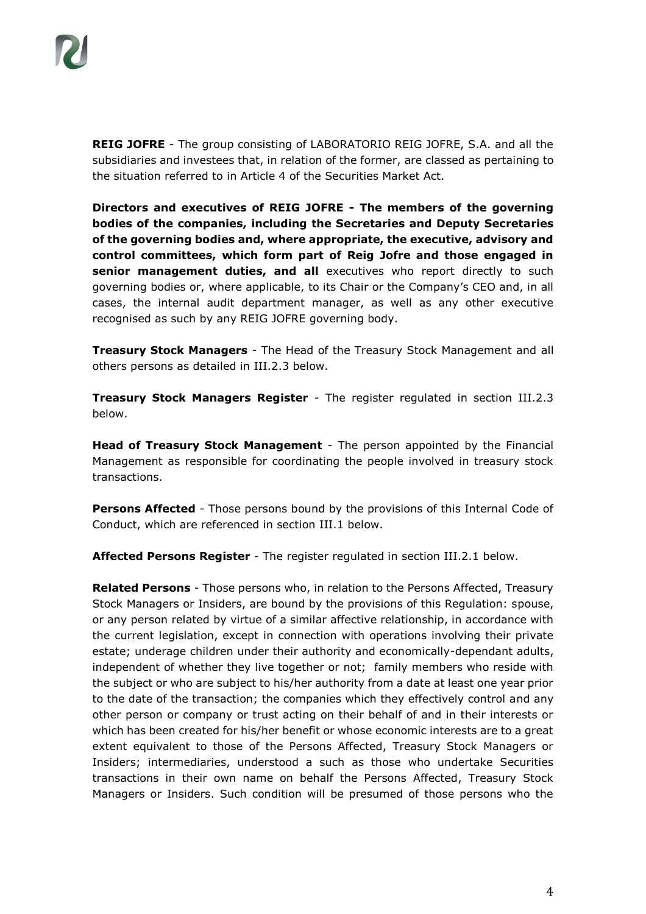**REIG JOFRE** - The group consisting of LABORATORIO REIG JOFRE, S.A. and all the subsidiaries and investees that, in relation of the former, are classed as pertaining to the situation referred to in Article 4 of the Securities Market Act.

**Directors and executives of REIG JOFRE - The members of the governing bodies of the companies, including the Secretaries and Deputy Secretaries of the governing bodies and, where appropriate, the executive, advisory and control committees, which form part of Reig Jofre and those engaged in senior management duties, and all** executives who report directly to such governing bodies or, where applicable, to its Chair or the Company's CEO and, in all cases, the internal audit department manager, as well as any other executive recognised as such by any REIG JOFRE governing body.

**Treasury Stock Managers** - The Head of the Treasury Stock Management and all others persons as detailed in III.2.3 below.

**Treasury Stock Managers Register** - The register regulated in section III.2.3 below.

**Head of Treasury Stock Management** - The person appointed by the Financial Management as responsible for coordinating the people involved in treasury stock transactions.

**Persons Affected** - Those persons bound by the provisions of this Internal Code of Conduct, which are referenced in section III.1 below.

**Affected Persons Register** - The register regulated in section III.2.1 below.

**Related Persons** - Those persons who, in relation to the Persons Affected, Treasury Stock Managers or Insiders, are bound by the provisions of this Regulation: spouse, or any person related by virtue of a similar affective relationship, in accordance with the current legislation, except in connection with operations involving their private estate; underage children under their authority and economically-dependant adults, independent of whether they live together or not; family members who reside with the subject or who are subject to his/her authority from a date at least one year prior to the date of the transaction; the companies which they effectively control and any other person or company or trust acting on their behalf of and in their interests or which has been created for his/her benefit or whose economic interests are to a great extent equivalent to those of the Persons Affected, Treasury Stock Managers or Insiders; intermediaries, understood a such as those who undertake Securities transactions in their own name on behalf the Persons Affected, Treasury Stock Managers or Insiders. Such condition will be presumed of those persons who the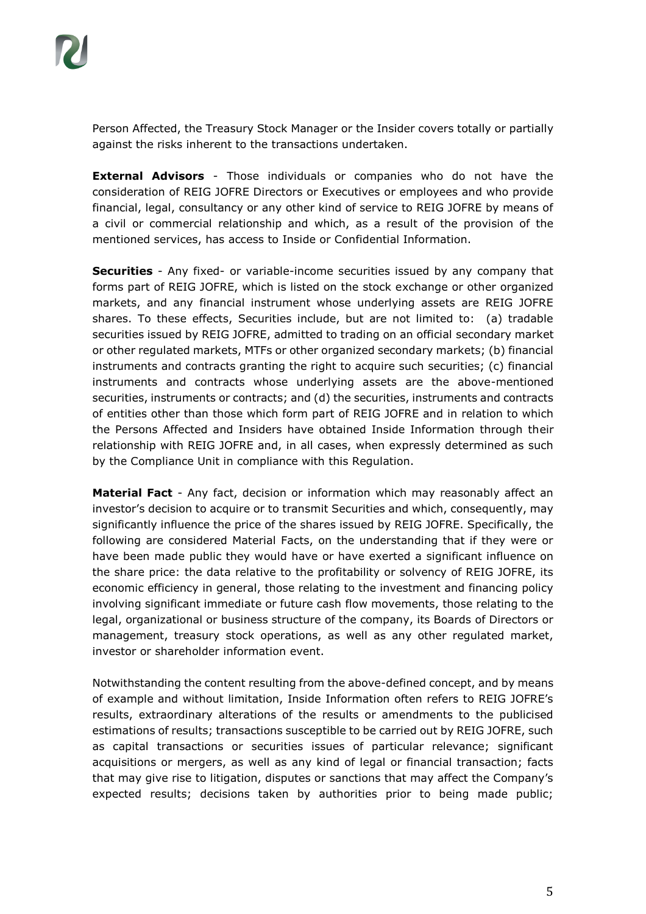Person Affected, the Treasury Stock Manager or the Insider covers totally or partially against the risks inherent to the transactions undertaken.

**External Advisors** - Those individuals or companies who do not have the consideration of REIG JOFRE Directors or Executives or employees and who provide financial, legal, consultancy or any other kind of service to REIG JOFRE by means of a civil or commercial relationship and which, as a result of the provision of the mentioned services, has access to Inside or Confidential Information.

**Securities** - Any fixed- or variable-income securities issued by any company that forms part of REIG JOFRE, which is listed on the stock exchange or other organized markets, and any financial instrument whose underlying assets are REIG JOFRE shares. To these effects, Securities include, but are not limited to: (a) tradable securities issued by REIG JOFRE, admitted to trading on an official secondary market or other regulated markets, MTFs or other organized secondary markets; (b) financial instruments and contracts granting the right to acquire such securities; (c) financial instruments and contracts whose underlying assets are the above-mentioned securities, instruments or contracts; and (d) the securities, instruments and contracts of entities other than those which form part of REIG JOFRE and in relation to which the Persons Affected and Insiders have obtained Inside Information through their relationship with REIG JOFRE and, in all cases, when expressly determined as such by the Compliance Unit in compliance with this Regulation.

**Material Fact** - Any fact, decision or information which may reasonably affect an investor's decision to acquire or to transmit Securities and which, consequently, may significantly influence the price of the shares issued by REIG JOFRE. Specifically, the following are considered Material Facts, on the understanding that if they were or have been made public they would have or have exerted a significant influence on the share price: the data relative to the profitability or solvency of REIG JOFRE, its economic efficiency in general, those relating to the investment and financing policy involving significant immediate or future cash flow movements, those relating to the legal, organizational or business structure of the company, its Boards of Directors or management, treasury stock operations, as well as any other regulated market, investor or shareholder information event.

Notwithstanding the content resulting from the above-defined concept, and by means of example and without limitation, Inside Information often refers to REIG JOFRE's results, extraordinary alterations of the results or amendments to the publicised estimations of results; transactions susceptible to be carried out by REIG JOFRE, such as capital transactions or securities issues of particular relevance; significant acquisitions or mergers, as well as any kind of legal or financial transaction; facts that may give rise to litigation, disputes or sanctions that may affect the Company's expected results; decisions taken by authorities prior to being made public;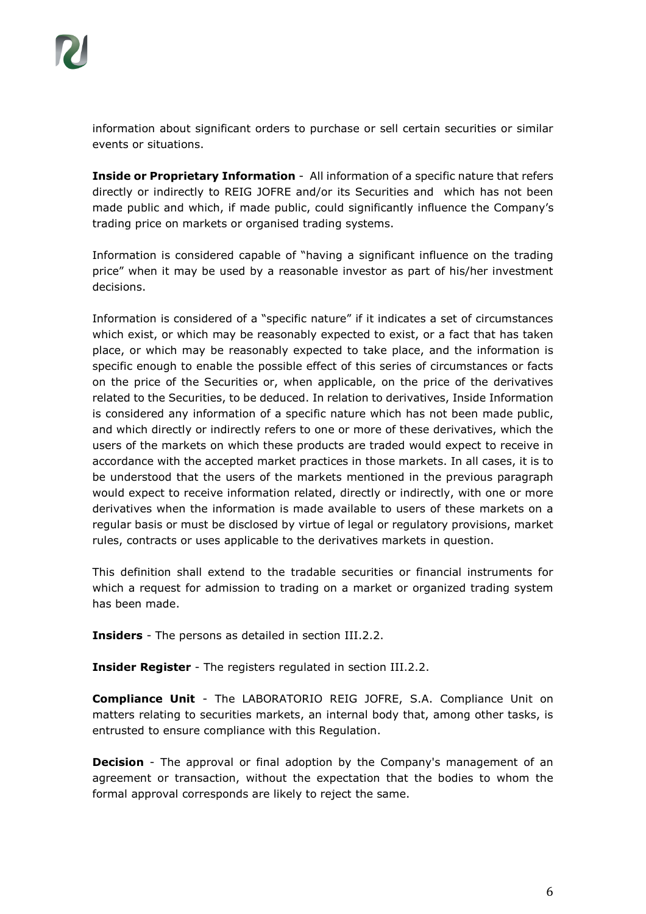information about significant orders to purchase or sell certain securities or similar events or situations.

**Inside or Proprietary Information** - All information of a specific nature that refers directly or indirectly to REIG JOFRE and/or its Securities and which has not been made public and which, if made public, could significantly influence the Company's trading price on markets or organised trading systems.

Information is considered capable of "having a significant influence on the trading price" when it may be used by a reasonable investor as part of his/her investment decisions.

Information is considered of a "specific nature" if it indicates a set of circumstances which exist, or which may be reasonably expected to exist, or a fact that has taken place, or which may be reasonably expected to take place, and the information is specific enough to enable the possible effect of this series of circumstances or facts on the price of the Securities or, when applicable, on the price of the derivatives related to the Securities, to be deduced. In relation to derivatives, Inside Information is considered any information of a specific nature which has not been made public, and which directly or indirectly refers to one or more of these derivatives, which the users of the markets on which these products are traded would expect to receive in accordance with the accepted market practices in those markets. In all cases, it is to be understood that the users of the markets mentioned in the previous paragraph would expect to receive information related, directly or indirectly, with one or more derivatives when the information is made available to users of these markets on a regular basis or must be disclosed by virtue of legal or regulatory provisions, market rules, contracts or uses applicable to the derivatives markets in question.

This definition shall extend to the tradable securities or financial instruments for which a request for admission to trading on a market or organized trading system has been made.

**Insiders** - The persons as detailed in section III.2.2.

**Insider Register** - The registers regulated in section III.2.2.

**Compliance Unit** - The LABORATORIO REIG JOFRE, S.A. Compliance Unit on matters relating to securities markets, an internal body that, among other tasks, is entrusted to ensure compliance with this Regulation.

**Decision** - The approval or final adoption by the Company's management of an agreement or transaction, without the expectation that the bodies to whom the formal approval corresponds are likely to reject the same.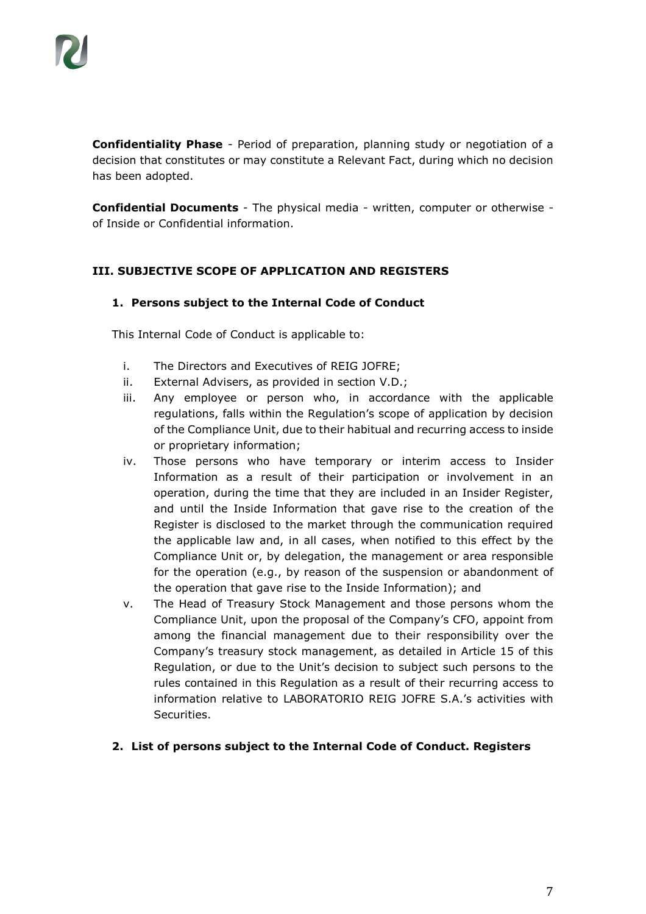**Confidentiality Phase** - Period of preparation, planning study or negotiation of a decision that constitutes or may constitute a Relevant Fact, during which no decision has been adopted.

**Confidential Documents** - The physical media - written, computer or otherwise of Inside or Confidential information.

#### **III. SUBJECTIVE SCOPE OF APPLICATION AND REGISTERS**

#### **1. Persons subject to the Internal Code of Conduct**

This Internal Code of Conduct is applicable to:

- i. The Directors and Executives of REIG JOFRE;
- ii. External Advisers, as provided in section V.D.;
- iii. Any employee or person who, in accordance with the applicable regulations, falls within the Regulation's scope of application by decision of the Compliance Unit, due to their habitual and recurring access to inside or proprietary information;
- iv. Those persons who have temporary or interim access to Insider Information as a result of their participation or involvement in an operation, during the time that they are included in an Insider Register, and until the Inside Information that gave rise to the creation of the Register is disclosed to the market through the communication required the applicable law and, in all cases, when notified to this effect by the Compliance Unit or, by delegation, the management or area responsible for the operation (e.g., by reason of the suspension or abandonment of the operation that gave rise to the Inside Information); and
- v. The Head of Treasury Stock Management and those persons whom the Compliance Unit, upon the proposal of the Company's CFO, appoint from among the financial management due to their responsibility over the Company's treasury stock management, as detailed in Article 15 of this Regulation, or due to the Unit's decision to subject such persons to the rules contained in this Regulation as a result of their recurring access to information relative to LABORATORIO REIG JOFRE S.A.'s activities with Securities.
- **2. List of persons subject to the Internal Code of Conduct. Registers**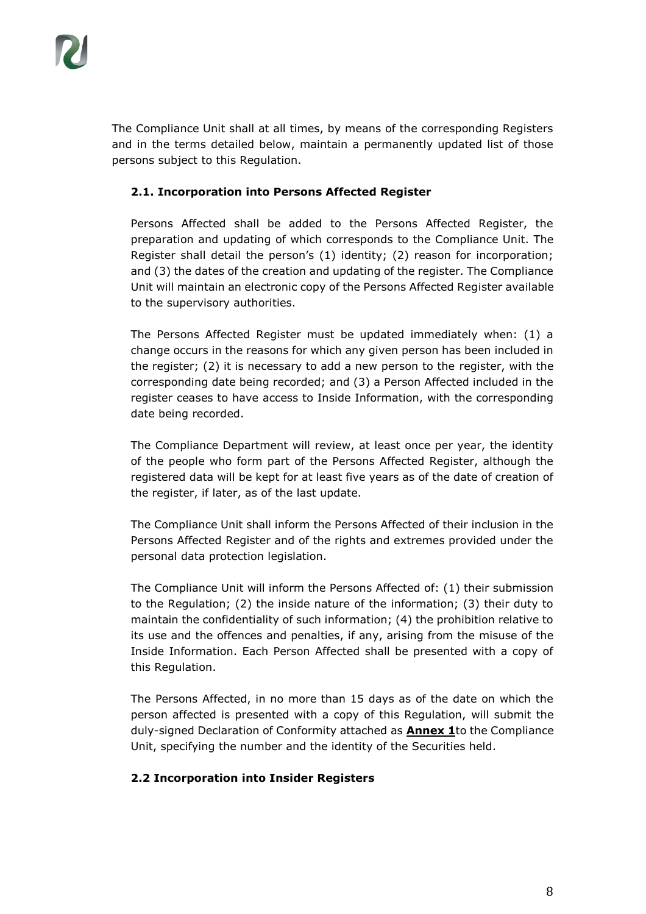The Compliance Unit shall at all times, by means of the corresponding Registers and in the terms detailed below, maintain a permanently updated list of those persons subject to this Regulation.

# **2.1. Incorporation into Persons Affected Register**

Persons Affected shall be added to the Persons Affected Register, the preparation and updating of which corresponds to the Compliance Unit. The Register shall detail the person's (1) identity; (2) reason for incorporation; and (3) the dates of the creation and updating of the register. The Compliance Unit will maintain an electronic copy of the Persons Affected Register available to the supervisory authorities.

The Persons Affected Register must be updated immediately when: (1) a change occurs in the reasons for which any given person has been included in the register; (2) it is necessary to add a new person to the register, with the corresponding date being recorded; and (3) a Person Affected included in the register ceases to have access to Inside Information, with the corresponding date being recorded.

The Compliance Department will review, at least once per year, the identity of the people who form part of the Persons Affected Register, although the registered data will be kept for at least five years as of the date of creation of the register, if later, as of the last update.

The Compliance Unit shall inform the Persons Affected of their inclusion in the Persons Affected Register and of the rights and extremes provided under the personal data protection legislation.

The Compliance Unit will inform the Persons Affected of: (1) their submission to the Regulation; (2) the inside nature of the information; (3) their duty to maintain the confidentiality of such information; (4) the prohibition relative to its use and the offences and penalties, if any, arising from the misuse of the Inside Information. Each Person Affected shall be presented with a copy of this Regulation.

The Persons Affected, in no more than 15 days as of the date on which the person affected is presented with a copy of this Regulation, will submit the duly-signed Declaration of Conformity attached as **Annex 1**to the Compliance Unit, specifying the number and the identity of the Securities held.

## **2.2 Incorporation into Insider Registers**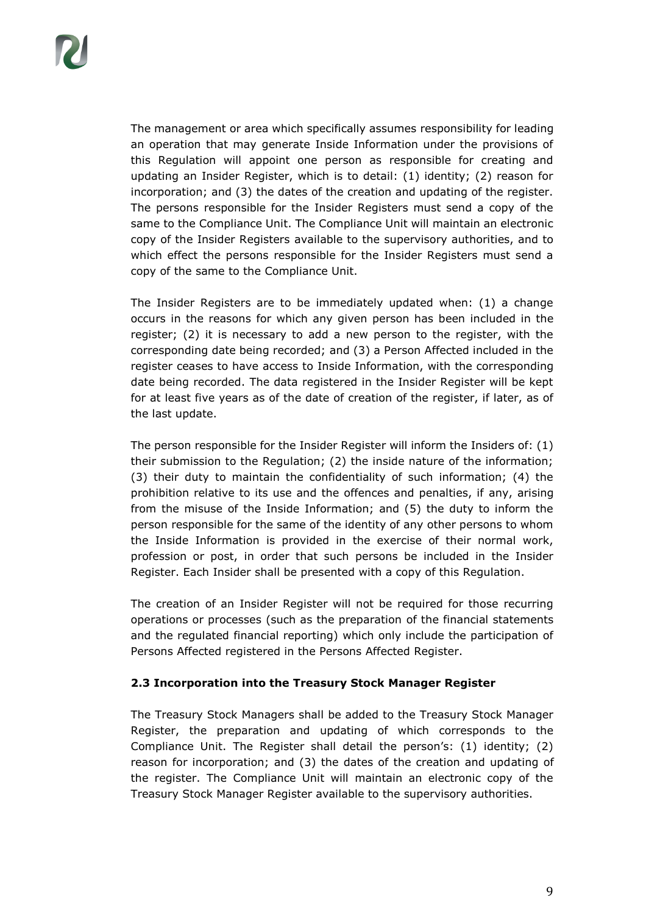The management or area which specifically assumes responsibility for leading an operation that may generate Inside Information under the provisions of this Regulation will appoint one person as responsible for creating and updating an Insider Register, which is to detail: (1) identity; (2) reason for incorporation; and (3) the dates of the creation and updating of the register. The persons responsible for the Insider Registers must send a copy of the same to the Compliance Unit. The Compliance Unit will maintain an electronic copy of the Insider Registers available to the supervisory authorities, and to which effect the persons responsible for the Insider Registers must send a copy of the same to the Compliance Unit.

The Insider Registers are to be immediately updated when: (1) a change occurs in the reasons for which any given person has been included in the register; (2) it is necessary to add a new person to the register, with the corresponding date being recorded; and (3) a Person Affected included in the register ceases to have access to Inside Information, with the corresponding date being recorded. The data registered in the Insider Register will be kept for at least five years as of the date of creation of the register, if later, as of the last update.

The person responsible for the Insider Register will inform the Insiders of: (1) their submission to the Regulation; (2) the inside nature of the information; (3) their duty to maintain the confidentiality of such information; (4) the prohibition relative to its use and the offences and penalties, if any, arising from the misuse of the Inside Information; and (5) the duty to inform the person responsible for the same of the identity of any other persons to whom the Inside Information is provided in the exercise of their normal work, profession or post, in order that such persons be included in the Insider Register. Each Insider shall be presented with a copy of this Regulation.

The creation of an Insider Register will not be required for those recurring operations or processes (such as the preparation of the financial statements and the regulated financial reporting) which only include the participation of Persons Affected registered in the Persons Affected Register.

#### **2.3 Incorporation into the Treasury Stock Manager Register**

The Treasury Stock Managers shall be added to the Treasury Stock Manager Register, the preparation and updating of which corresponds to the Compliance Unit. The Register shall detail the person's: (1) identity; (2) reason for incorporation; and (3) the dates of the creation and updating of the register. The Compliance Unit will maintain an electronic copy of the Treasury Stock Manager Register available to the supervisory authorities.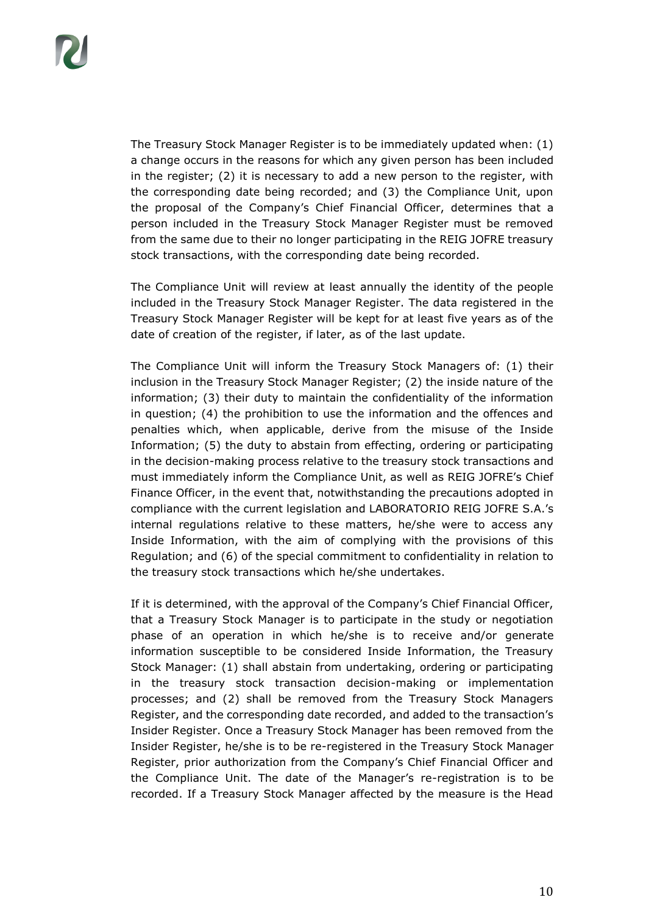The Treasury Stock Manager Register is to be immediately updated when: (1) a change occurs in the reasons for which any given person has been included in the register; (2) it is necessary to add a new person to the register, with the corresponding date being recorded; and (3) the Compliance Unit, upon the proposal of the Company's Chief Financial Officer, determines that a person included in the Treasury Stock Manager Register must be removed from the same due to their no longer participating in the REIG JOFRE treasury stock transactions, with the corresponding date being recorded.

The Compliance Unit will review at least annually the identity of the people included in the Treasury Stock Manager Register. The data registered in the Treasury Stock Manager Register will be kept for at least five years as of the date of creation of the register, if later, as of the last update.

The Compliance Unit will inform the Treasury Stock Managers of: (1) their inclusion in the Treasury Stock Manager Register; (2) the inside nature of the information; (3) their duty to maintain the confidentiality of the information in question; (4) the prohibition to use the information and the offences and penalties which, when applicable, derive from the misuse of the Inside Information; (5) the duty to abstain from effecting, ordering or participating in the decision-making process relative to the treasury stock transactions and must immediately inform the Compliance Unit, as well as REIG JOFRE's Chief Finance Officer, in the event that, notwithstanding the precautions adopted in compliance with the current legislation and LABORATORIO REIG JOFRE S.A.'s internal regulations relative to these matters, he/she were to access any Inside Information, with the aim of complying with the provisions of this Regulation; and (6) of the special commitment to confidentiality in relation to the treasury stock transactions which he/she undertakes.

If it is determined, with the approval of the Company's Chief Financial Officer, that a Treasury Stock Manager is to participate in the study or negotiation phase of an operation in which he/she is to receive and/or generate information susceptible to be considered Inside Information, the Treasury Stock Manager: (1) shall abstain from undertaking, ordering or participating in the treasury stock transaction decision-making or implementation processes; and (2) shall be removed from the Treasury Stock Managers Register, and the corresponding date recorded, and added to the transaction's Insider Register. Once a Treasury Stock Manager has been removed from the Insider Register, he/she is to be re-registered in the Treasury Stock Manager Register, prior authorization from the Company's Chief Financial Officer and the Compliance Unit. The date of the Manager's re-registration is to be recorded. If a Treasury Stock Manager affected by the measure is the Head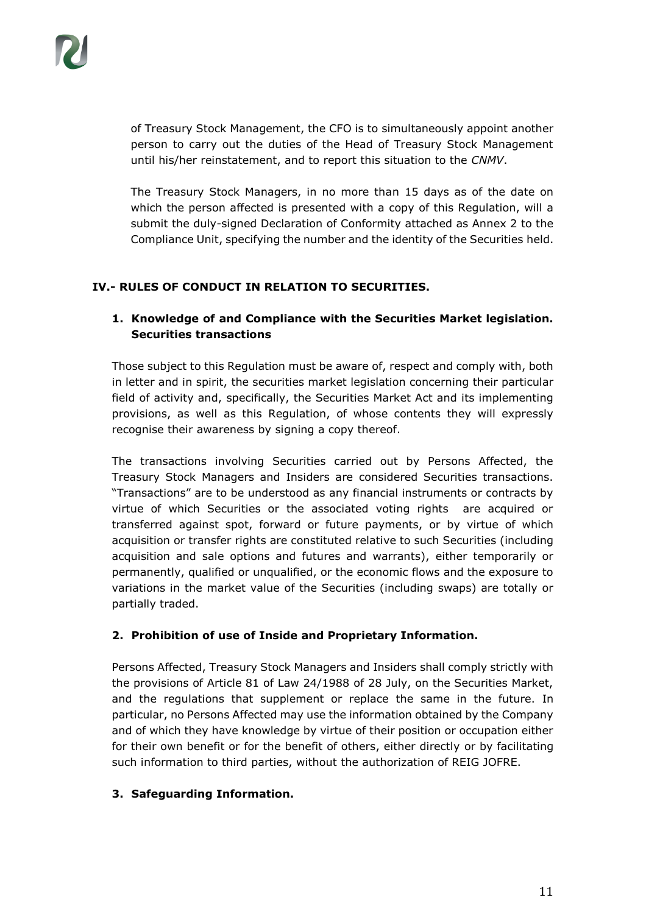of Treasury Stock Management, the CFO is to simultaneously appoint another person to carry out the duties of the Head of Treasury Stock Management until his/her reinstatement, and to report this situation to the *CNMV*.

The Treasury Stock Managers, in no more than 15 days as of the date on which the person affected is presented with a copy of this Regulation, will a submit the duly-signed Declaration of Conformity attached as Annex 2 to the Compliance Unit, specifying the number and the identity of the Securities held.

## **IV.- RULES OF CONDUCT IN RELATION TO SECURITIES.**

# **1. Knowledge of and Compliance with the Securities Market legislation. Securities transactions**

Those subject to this Regulation must be aware of, respect and comply with, both in letter and in spirit, the securities market legislation concerning their particular field of activity and, specifically, the Securities Market Act and its implementing provisions, as well as this Regulation, of whose contents they will expressly recognise their awareness by signing a copy thereof.

The transactions involving Securities carried out by Persons Affected, the Treasury Stock Managers and Insiders are considered Securities transactions. "Transactions" are to be understood as any financial instruments or contracts by virtue of which Securities or the associated voting rights are acquired or transferred against spot, forward or future payments, or by virtue of which acquisition or transfer rights are constituted relative to such Securities (including acquisition and sale options and futures and warrants), either temporarily or permanently, qualified or unqualified, or the economic flows and the exposure to variations in the market value of the Securities (including swaps) are totally or partially traded.

## **2. Prohibition of use of Inside and Proprietary Information.**

Persons Affected, Treasury Stock Managers and Insiders shall comply strictly with the provisions of Article 81 of Law 24/1988 of 28 July, on the Securities Market, and the regulations that supplement or replace the same in the future. In particular, no Persons Affected may use the information obtained by the Company and of which they have knowledge by virtue of their position or occupation either for their own benefit or for the benefit of others, either directly or by facilitating such information to third parties, without the authorization of REIG JOFRE.

## **3. Safeguarding Information.**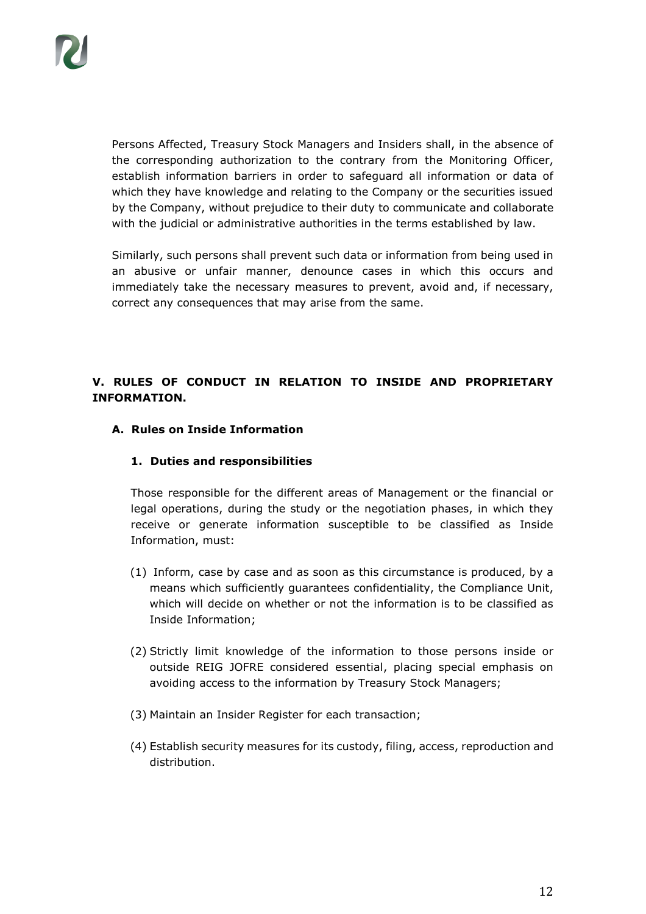Persons Affected, Treasury Stock Managers and Insiders shall, in the absence of the corresponding authorization to the contrary from the Monitoring Officer, establish information barriers in order to safeguard all information or data of which they have knowledge and relating to the Company or the securities issued by the Company, without prejudice to their duty to communicate and collaborate with the judicial or administrative authorities in the terms established by law.

Similarly, such persons shall prevent such data or information from being used in an abusive or unfair manner, denounce cases in which this occurs and immediately take the necessary measures to prevent, avoid and, if necessary, correct any consequences that may arise from the same.

# **V. RULES OF CONDUCT IN RELATION TO INSIDE AND PROPRIETARY INFORMATION.**

#### **A. Rules on Inside Information**

#### **1. Duties and responsibilities**

Those responsible for the different areas of Management or the financial or legal operations, during the study or the negotiation phases, in which they receive or generate information susceptible to be classified as Inside Information, must:

- (1) Inform, case by case and as soon as this circumstance is produced, by a means which sufficiently guarantees confidentiality, the Compliance Unit, which will decide on whether or not the information is to be classified as Inside Information;
- (2) Strictly limit knowledge of the information to those persons inside or outside REIG JOFRE considered essential, placing special emphasis on avoiding access to the information by Treasury Stock Managers;
- (3) Maintain an Insider Register for each transaction;
- (4) Establish security measures for its custody, filing, access, reproduction and distribution.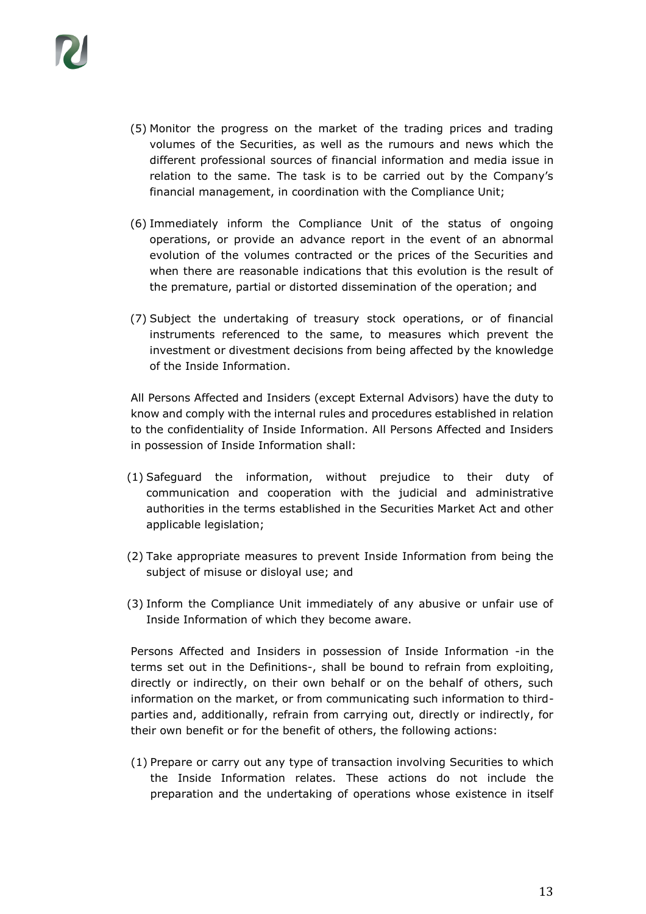- (5) Monitor the progress on the market of the trading prices and trading volumes of the Securities, as well as the rumours and news which the different professional sources of financial information and media issue in relation to the same. The task is to be carried out by the Company's financial management, in coordination with the Compliance Unit;
- (6) Immediately inform the Compliance Unit of the status of ongoing operations, or provide an advance report in the event of an abnormal evolution of the volumes contracted or the prices of the Securities and when there are reasonable indications that this evolution is the result of the premature, partial or distorted dissemination of the operation; and
- (7) Subject the undertaking of treasury stock operations, or of financial instruments referenced to the same, to measures which prevent the investment or divestment decisions from being affected by the knowledge of the Inside Information.

All Persons Affected and Insiders (except External Advisors) have the duty to know and comply with the internal rules and procedures established in relation to the confidentiality of Inside Information. All Persons Affected and Insiders in possession of Inside Information shall:

- (1) Safeguard the information, without prejudice to their duty of communication and cooperation with the judicial and administrative authorities in the terms established in the Securities Market Act and other applicable legislation;
- (2) Take appropriate measures to prevent Inside Information from being the subject of misuse or disloyal use; and
- (3) Inform the Compliance Unit immediately of any abusive or unfair use of Inside Information of which they become aware.

Persons Affected and Insiders in possession of Inside Information -in the terms set out in the Definitions-, shall be bound to refrain from exploiting, directly or indirectly, on their own behalf or on the behalf of others, such information on the market, or from communicating such information to thirdparties and, additionally, refrain from carrying out, directly or indirectly, for their own benefit or for the benefit of others, the following actions:

(1) Prepare or carry out any type of transaction involving Securities to which the Inside Information relates. These actions do not include the preparation and the undertaking of operations whose existence in itself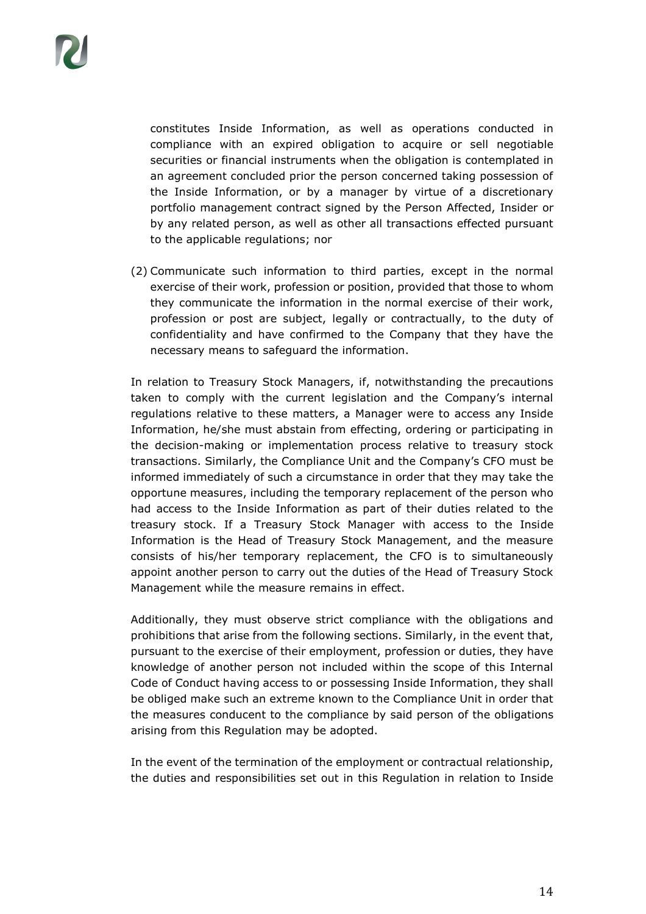constitutes Inside Information, as well as operations conducted in compliance with an expired obligation to acquire or sell negotiable securities or financial instruments when the obligation is contemplated in an agreement concluded prior the person concerned taking possession of the Inside Information, or by a manager by virtue of a discretionary portfolio management contract signed by the Person Affected, Insider or by any related person, as well as other all transactions effected pursuant to the applicable regulations; nor

(2) Communicate such information to third parties, except in the normal exercise of their work, profession or position, provided that those to whom they communicate the information in the normal exercise of their work, profession or post are subject, legally or contractually, to the duty of confidentiality and have confirmed to the Company that they have the necessary means to safeguard the information.

In relation to Treasury Stock Managers, if, notwithstanding the precautions taken to comply with the current legislation and the Company's internal regulations relative to these matters, a Manager were to access any Inside Information, he/she must abstain from effecting, ordering or participating in the decision-making or implementation process relative to treasury stock transactions. Similarly, the Compliance Unit and the Company's CFO must be informed immediately of such a circumstance in order that they may take the opportune measures, including the temporary replacement of the person who had access to the Inside Information as part of their duties related to the treasury stock. If a Treasury Stock Manager with access to the Inside Information is the Head of Treasury Stock Management, and the measure consists of his/her temporary replacement, the CFO is to simultaneously appoint another person to carry out the duties of the Head of Treasury Stock Management while the measure remains in effect.

Additionally, they must observe strict compliance with the obligations and prohibitions that arise from the following sections. Similarly, in the event that, pursuant to the exercise of their employment, profession or duties, they have knowledge of another person not included within the scope of this Internal Code of Conduct having access to or possessing Inside Information, they shall be obliged make such an extreme known to the Compliance Unit in order that the measures conducent to the compliance by said person of the obligations arising from this Regulation may be adopted.

In the event of the termination of the employment or contractual relationship, the duties and responsibilities set out in this Regulation in relation to Inside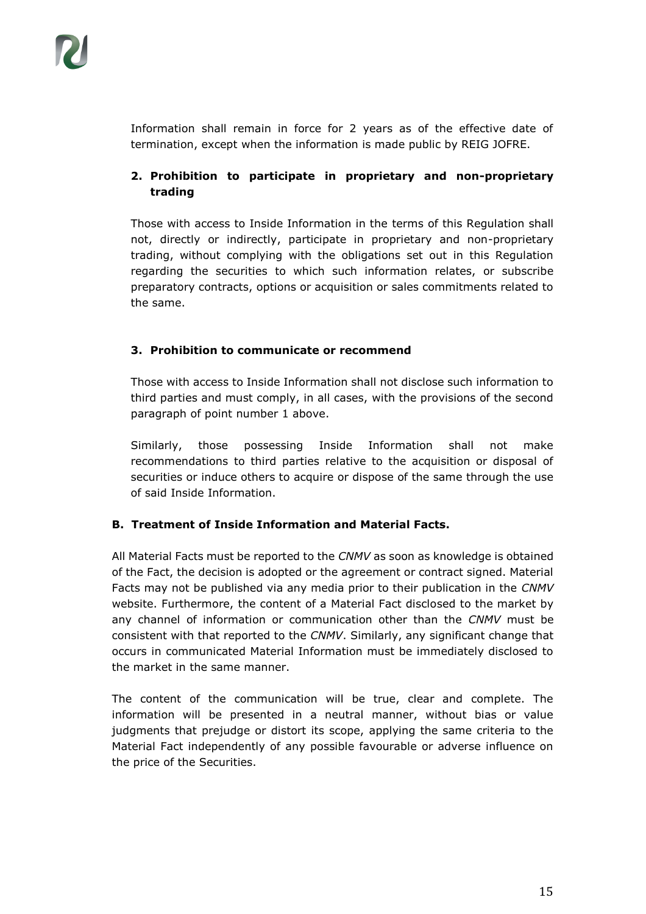Information shall remain in force for 2 years as of the effective date of termination, except when the information is made public by REIG JOFRE.

# **2. Prohibition to participate in proprietary and non-proprietary trading**

Those with access to Inside Information in the terms of this Regulation shall not, directly or indirectly, participate in proprietary and non-proprietary trading, without complying with the obligations set out in this Regulation regarding the securities to which such information relates, or subscribe preparatory contracts, options or acquisition or sales commitments related to the same.

## **3. Prohibition to communicate or recommend**

Those with access to Inside Information shall not disclose such information to third parties and must comply, in all cases, with the provisions of the second paragraph of point number 1 above.

Similarly, those possessing Inside Information shall not make recommendations to third parties relative to the acquisition or disposal of securities or induce others to acquire or dispose of the same through the use of said Inside Information.

## **B. Treatment of Inside Information and Material Facts.**

All Material Facts must be reported to the *CNMV* as soon as knowledge is obtained of the Fact, the decision is adopted or the agreement or contract signed. Material Facts may not be published via any media prior to their publication in the *CNMV* website. Furthermore, the content of a Material Fact disclosed to the market by any channel of information or communication other than the *CNMV* must be consistent with that reported to the *CNMV*. Similarly, any significant change that occurs in communicated Material Information must be immediately disclosed to the market in the same manner.

The content of the communication will be true, clear and complete. The information will be presented in a neutral manner, without bias or value judgments that prejudge or distort its scope, applying the same criteria to the Material Fact independently of any possible favourable or adverse influence on the price of the Securities.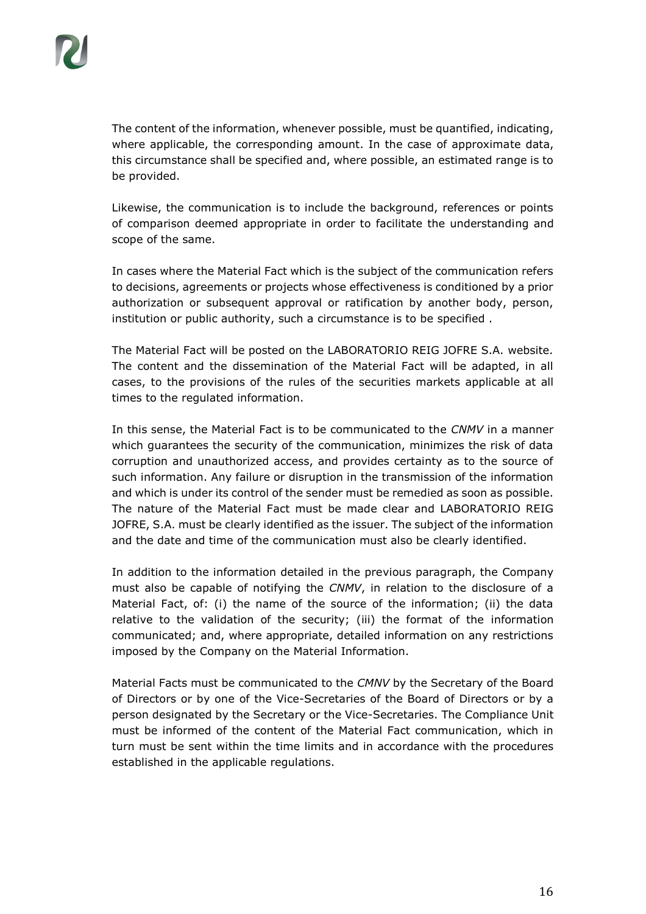The content of the information, whenever possible, must be quantified, indicating, where applicable, the corresponding amount. In the case of approximate data, this circumstance shall be specified and, where possible, an estimated range is to be provided.

Likewise, the communication is to include the background, references or points of comparison deemed appropriate in order to facilitate the understanding and scope of the same.

In cases where the Material Fact which is the subject of the communication refers to decisions, agreements or projects whose effectiveness is conditioned by a prior authorization or subsequent approval or ratification by another body, person, institution or public authority, such a circumstance is to be specified .

The Material Fact will be posted on the LABORATORIO REIG JOFRE S.A. website. The content and the dissemination of the Material Fact will be adapted, in all cases, to the provisions of the rules of the securities markets applicable at all times to the regulated information.

In this sense, the Material Fact is to be communicated to the *CNMV* in a manner which guarantees the security of the communication, minimizes the risk of data corruption and unauthorized access, and provides certainty as to the source of such information. Any failure or disruption in the transmission of the information and which is under its control of the sender must be remedied as soon as possible. The nature of the Material Fact must be made clear and LABORATORIO REIG JOFRE, S.A. must be clearly identified as the issuer. The subject of the information and the date and time of the communication must also be clearly identified.

In addition to the information detailed in the previous paragraph, the Company must also be capable of notifying the *CNMV*, in relation to the disclosure of a Material Fact, of: (i) the name of the source of the information; (ii) the data relative to the validation of the security; (iii) the format of the information communicated; and, where appropriate, detailed information on any restrictions imposed by the Company on the Material Information.

Material Facts must be communicated to the *CMNV* by the Secretary of the Board of Directors or by one of the Vice-Secretaries of the Board of Directors or by a person designated by the Secretary or the Vice-Secretaries. The Compliance Unit must be informed of the content of the Material Fact communication, which in turn must be sent within the time limits and in accordance with the procedures established in the applicable regulations.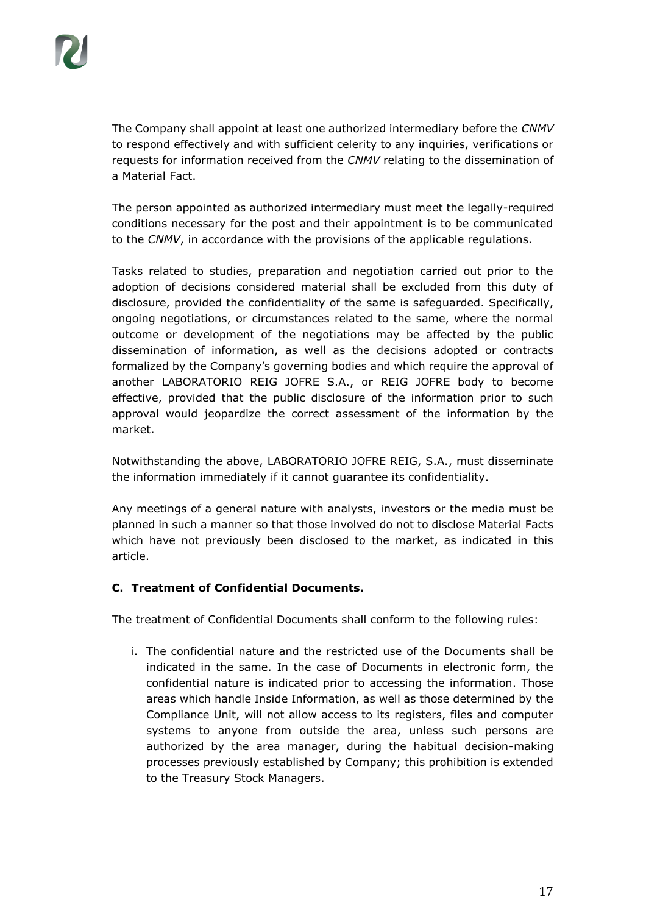The Company shall appoint at least one authorized intermediary before the *CNMV* to respond effectively and with sufficient celerity to any inquiries, verifications or requests for information received from the *CNMV* relating to the dissemination of a Material Fact.

The person appointed as authorized intermediary must meet the legally-required conditions necessary for the post and their appointment is to be communicated to the *CNMV*, in accordance with the provisions of the applicable regulations.

Tasks related to studies, preparation and negotiation carried out prior to the adoption of decisions considered material shall be excluded from this duty of disclosure, provided the confidentiality of the same is safeguarded. Specifically, ongoing negotiations, or circumstances related to the same, where the normal outcome or development of the negotiations may be affected by the public dissemination of information, as well as the decisions adopted or contracts formalized by the Company's governing bodies and which require the approval of another LABORATORIO REIG JOFRE S.A., or REIG JOFRE body to become effective, provided that the public disclosure of the information prior to such approval would jeopardize the correct assessment of the information by the market.

Notwithstanding the above, LABORATORIO JOFRE REIG, S.A., must disseminate the information immediately if it cannot guarantee its confidentiality.

Any meetings of a general nature with analysts, investors or the media must be planned in such a manner so that those involved do not to disclose Material Facts which have not previously been disclosed to the market, as indicated in this article.

## **C. Treatment of Confidential Documents.**

The treatment of Confidential Documents shall conform to the following rules:

i. The confidential nature and the restricted use of the Documents shall be indicated in the same. In the case of Documents in electronic form, the confidential nature is indicated prior to accessing the information. Those areas which handle Inside Information, as well as those determined by the Compliance Unit, will not allow access to its registers, files and computer systems to anyone from outside the area, unless such persons are authorized by the area manager, during the habitual decision-making processes previously established by Company; this prohibition is extended to the Treasury Stock Managers.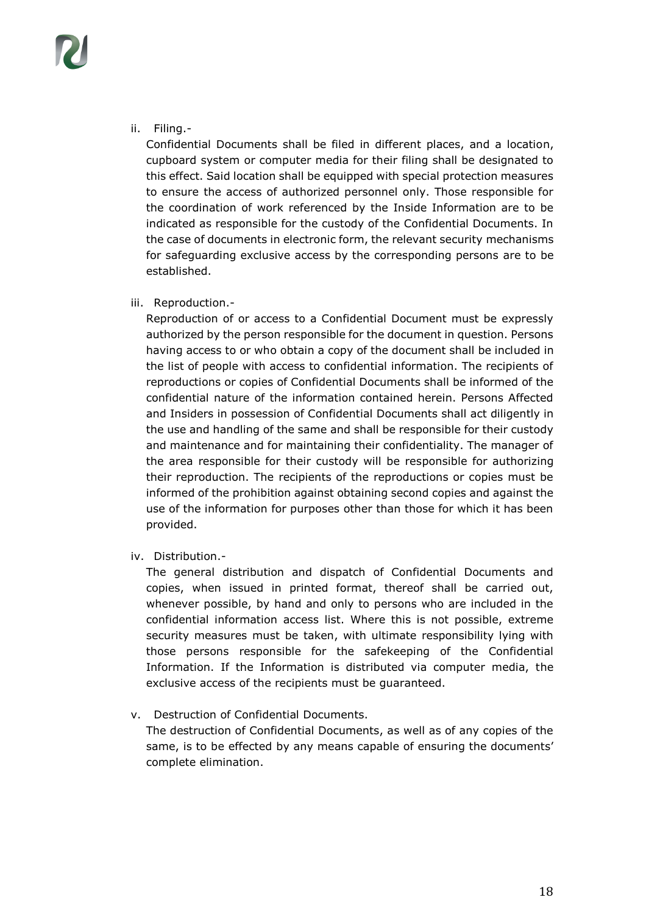ii. Filing.-

Confidential Documents shall be filed in different places, and a location, cupboard system or computer media for their filing shall be designated to this effect. Said location shall be equipped with special protection measures to ensure the access of authorized personnel only. Those responsible for the coordination of work referenced by the Inside Information are to be indicated as responsible for the custody of the Confidential Documents. In the case of documents in electronic form, the relevant security mechanisms for safeguarding exclusive access by the corresponding persons are to be established.

iii. Reproduction.-

Reproduction of or access to a Confidential Document must be expressly authorized by the person responsible for the document in question. Persons having access to or who obtain a copy of the document shall be included in the list of people with access to confidential information. The recipients of reproductions or copies of Confidential Documents shall be informed of the confidential nature of the information contained herein. Persons Affected and Insiders in possession of Confidential Documents shall act diligently in the use and handling of the same and shall be responsible for their custody and maintenance and for maintaining their confidentiality. The manager of the area responsible for their custody will be responsible for authorizing their reproduction. The recipients of the reproductions or copies must be informed of the prohibition against obtaining second copies and against the use of the information for purposes other than those for which it has been provided.

iv. Distribution.-

The general distribution and dispatch of Confidential Documents and copies, when issued in printed format, thereof shall be carried out, whenever possible, by hand and only to persons who are included in the confidential information access list. Where this is not possible, extreme security measures must be taken, with ultimate responsibility lying with those persons responsible for the safekeeping of the Confidential Information. If the Information is distributed via computer media, the exclusive access of the recipients must be guaranteed.

v. Destruction of Confidential Documents.

The destruction of Confidential Documents, as well as of any copies of the same, is to be effected by any means capable of ensuring the documents' complete elimination.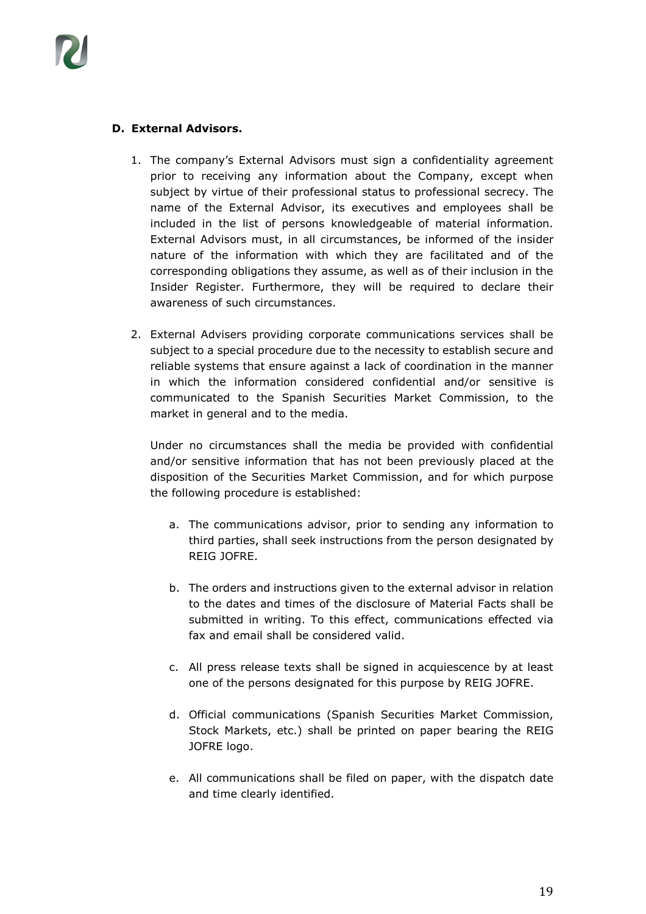

#### **D. External Advisors.**

- 1. The company's External Advisors must sign a confidentiality agreement prior to receiving any information about the Company, except when subject by virtue of their professional status to professional secrecy. The name of the External Advisor, its executives and employees shall be included in the list of persons knowledgeable of material information. External Advisors must, in all circumstances, be informed of the insider nature of the information with which they are facilitated and of the corresponding obligations they assume, as well as of their inclusion in the Insider Register. Furthermore, they will be required to declare their awareness of such circumstances.
- 2. External Advisers providing corporate communications services shall be subject to a special procedure due to the necessity to establish secure and reliable systems that ensure against a lack of coordination in the manner in which the information considered confidential and/or sensitive is communicated to the Spanish Securities Market Commission, to the market in general and to the media.

Under no circumstances shall the media be provided with confidential and/or sensitive information that has not been previously placed at the disposition of the Securities Market Commission, and for which purpose the following procedure is established:

- a. The communications advisor, prior to sending any information to third parties, shall seek instructions from the person designated by REIG JOFRE.
- b. The orders and instructions given to the external advisor in relation to the dates and times of the disclosure of Material Facts shall be submitted in writing. To this effect, communications effected via fax and email shall be considered valid.
- c. All press release texts shall be signed in acquiescence by at least one of the persons designated for this purpose by REIG JOFRE.
- d. Official communications (Spanish Securities Market Commission, Stock Markets, etc.) shall be printed on paper bearing the REIG JOFRE logo.
- e. All communications shall be filed on paper, with the dispatch date and time clearly identified.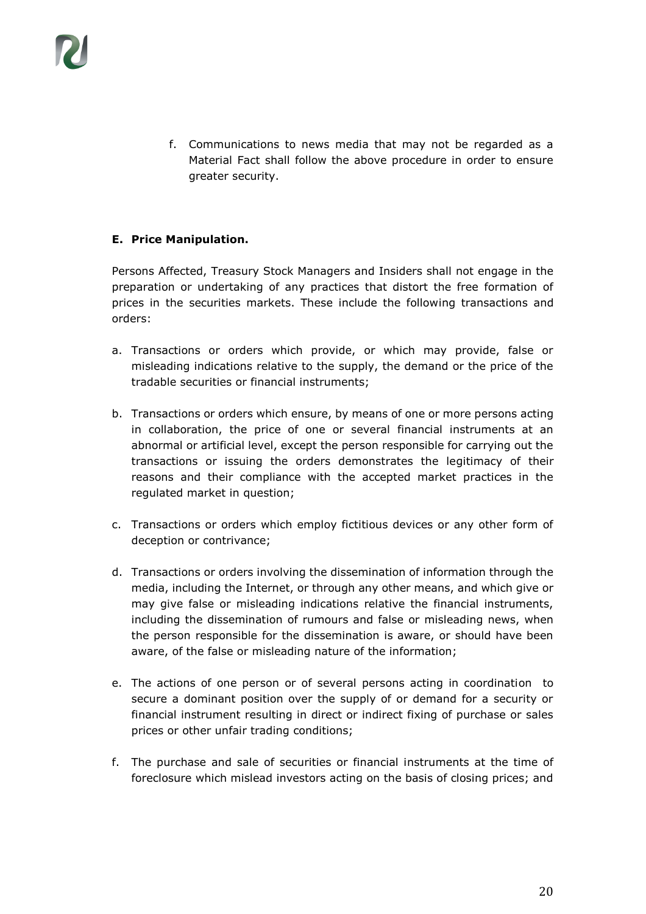f. Communications to news media that may not be regarded as a Material Fact shall follow the above procedure in order to ensure greater security.

#### **E. Price Manipulation.**

Persons Affected, Treasury Stock Managers and Insiders shall not engage in the preparation or undertaking of any practices that distort the free formation of prices in the securities markets. These include the following transactions and orders:

- a. Transactions or orders which provide, or which may provide, false or misleading indications relative to the supply, the demand or the price of the tradable securities or financial instruments;
- b. Transactions or orders which ensure, by means of one or more persons acting in collaboration, the price of one or several financial instruments at an abnormal or artificial level, except the person responsible for carrying out the transactions or issuing the orders demonstrates the legitimacy of their reasons and their compliance with the accepted market practices in the regulated market in question;
- c. Transactions or orders which employ fictitious devices or any other form of deception or contrivance;
- d. Transactions or orders involving the dissemination of information through the media, including the Internet, or through any other means, and which give or may give false or misleading indications relative the financial instruments, including the dissemination of rumours and false or misleading news, when the person responsible for the dissemination is aware, or should have been aware, of the false or misleading nature of the information;
- e. The actions of one person or of several persons acting in coordination to secure a dominant position over the supply of or demand for a security or financial instrument resulting in direct or indirect fixing of purchase or sales prices or other unfair trading conditions;
- f. The purchase and sale of securities or financial instruments at the time of foreclosure which mislead investors acting on the basis of closing prices; and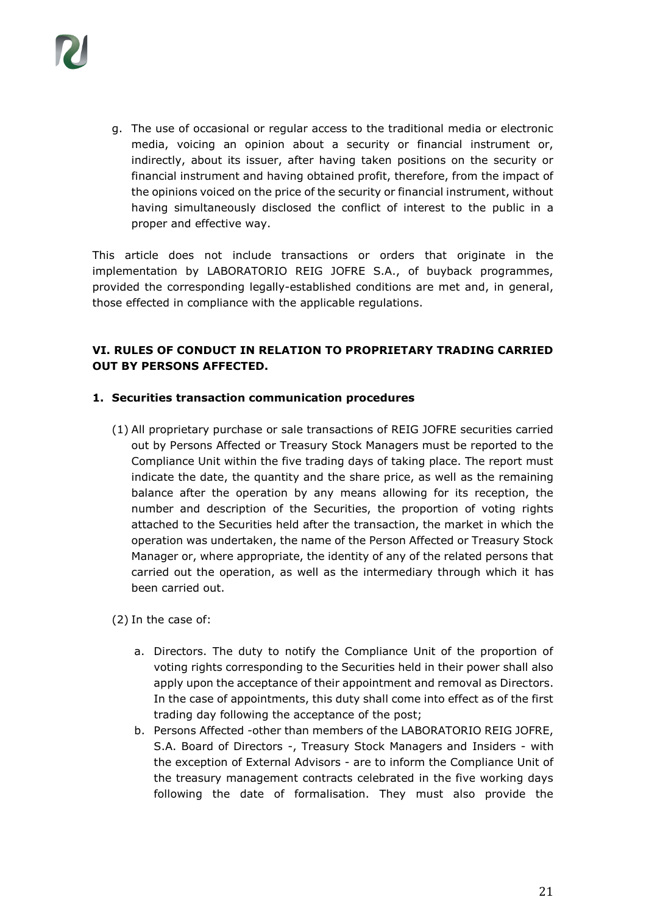

g. The use of occasional or regular access to the traditional media or electronic media, voicing an opinion about a security or financial instrument or, indirectly, about its issuer, after having taken positions on the security or financial instrument and having obtained profit, therefore, from the impact of the opinions voiced on the price of the security or financial instrument, without having simultaneously disclosed the conflict of interest to the public in a proper and effective way.

This article does not include transactions or orders that originate in the implementation by LABORATORIO REIG JOFRE S.A., of buyback programmes, provided the corresponding legally-established conditions are met and, in general, those effected in compliance with the applicable regulations.

#### **VI. RULES OF CONDUCT IN RELATION TO PROPRIETARY TRADING CARRIED OUT BY PERSONS AFFECTED.**

#### **1. Securities transaction communication procedures**

(1) All proprietary purchase or sale transactions of REIG JOFRE securities carried out by Persons Affected or Treasury Stock Managers must be reported to the Compliance Unit within the five trading days of taking place. The report must indicate the date, the quantity and the share price, as well as the remaining balance after the operation by any means allowing for its reception, the number and description of the Securities, the proportion of voting rights attached to the Securities held after the transaction, the market in which the operation was undertaken, the name of the Person Affected or Treasury Stock Manager or, where appropriate, the identity of any of the related persons that carried out the operation, as well as the intermediary through which it has been carried out.

(2) In the case of:

- a. Directors. The duty to notify the Compliance Unit of the proportion of voting rights corresponding to the Securities held in their power shall also apply upon the acceptance of their appointment and removal as Directors. In the case of appointments, this duty shall come into effect as of the first trading day following the acceptance of the post;
- b. Persons Affected -other than members of the LABORATORIO REIG JOFRE, S.A. Board of Directors -, Treasury Stock Managers and Insiders - with the exception of External Advisors - are to inform the Compliance Unit of the treasury management contracts celebrated in the five working days following the date of formalisation. They must also provide the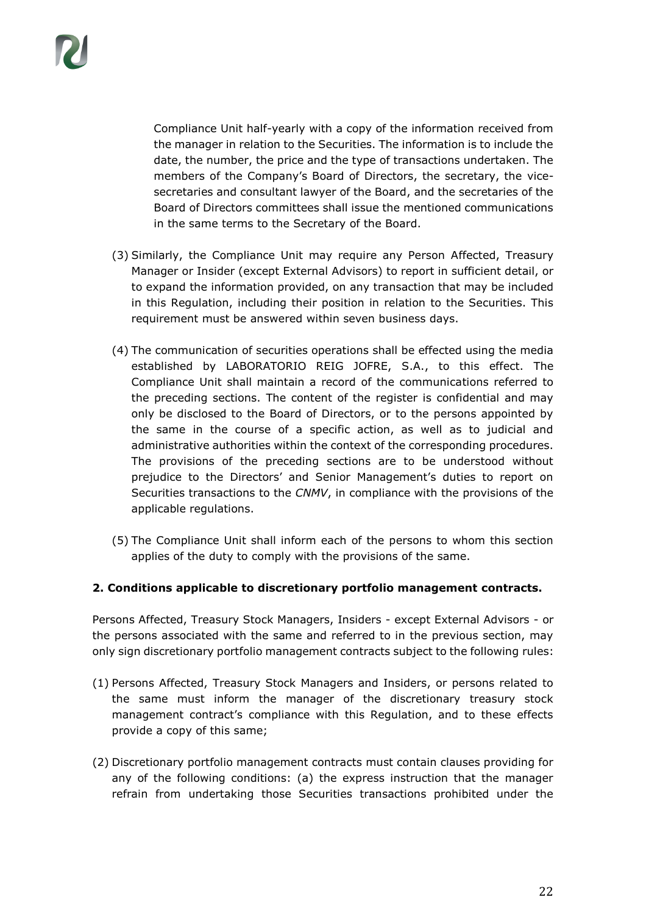Compliance Unit half-yearly with a copy of the information received from the manager in relation to the Securities. The information is to include the date, the number, the price and the type of transactions undertaken. The members of the Company's Board of Directors, the secretary, the vicesecretaries and consultant lawyer of the Board, and the secretaries of the Board of Directors committees shall issue the mentioned communications in the same terms to the Secretary of the Board.

- (3) Similarly, the Compliance Unit may require any Person Affected, Treasury Manager or Insider (except External Advisors) to report in sufficient detail, or to expand the information provided, on any transaction that may be included in this Regulation, including their position in relation to the Securities. This requirement must be answered within seven business days.
- (4) The communication of securities operations shall be effected using the media established by LABORATORIO REIG JOFRE, S.A., to this effect. The Compliance Unit shall maintain a record of the communications referred to the preceding sections. The content of the register is confidential and may only be disclosed to the Board of Directors, or to the persons appointed by the same in the course of a specific action, as well as to judicial and administrative authorities within the context of the corresponding procedures. The provisions of the preceding sections are to be understood without prejudice to the Directors' and Senior Management's duties to report on Securities transactions to the *CNMV*, in compliance with the provisions of the applicable regulations.
- (5) The Compliance Unit shall inform each of the persons to whom this section applies of the duty to comply with the provisions of the same.

#### **2. Conditions applicable to discretionary portfolio management contracts.**

Persons Affected, Treasury Stock Managers, Insiders - except External Advisors - or the persons associated with the same and referred to in the previous section, may only sign discretionary portfolio management contracts subject to the following rules:

- (1) Persons Affected, Treasury Stock Managers and Insiders, or persons related to the same must inform the manager of the discretionary treasury stock management contract's compliance with this Regulation, and to these effects provide a copy of this same;
- (2) Discretionary portfolio management contracts must contain clauses providing for any of the following conditions: (a) the express instruction that the manager refrain from undertaking those Securities transactions prohibited under the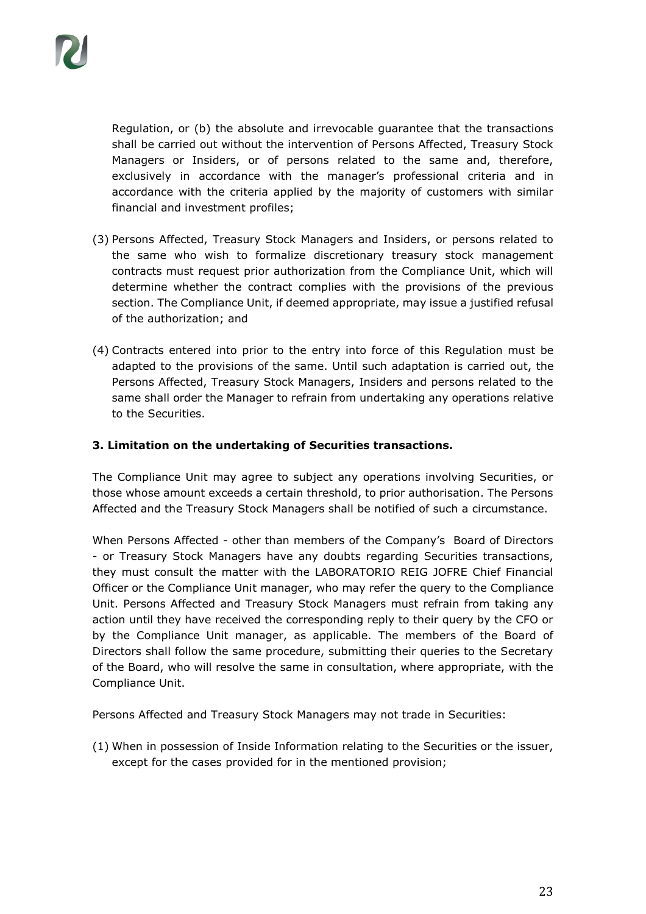Regulation, or (b) the absolute and irrevocable guarantee that the transactions shall be carried out without the intervention of Persons Affected, Treasury Stock Managers or Insiders, or of persons related to the same and, therefore, exclusively in accordance with the manager's professional criteria and in accordance with the criteria applied by the majority of customers with similar financial and investment profiles;

- (3) Persons Affected, Treasury Stock Managers and Insiders, or persons related to the same who wish to formalize discretionary treasury stock management contracts must request prior authorization from the Compliance Unit, which will determine whether the contract complies with the provisions of the previous section. The Compliance Unit, if deemed appropriate, may issue a justified refusal of the authorization; and
- (4) Contracts entered into prior to the entry into force of this Regulation must be adapted to the provisions of the same. Until such adaptation is carried out, the Persons Affected, Treasury Stock Managers, Insiders and persons related to the same shall order the Manager to refrain from undertaking any operations relative to the Securities.

#### **3. Limitation on the undertaking of Securities transactions.**

The Compliance Unit may agree to subject any operations involving Securities, or those whose amount exceeds a certain threshold, to prior authorisation. The Persons Affected and the Treasury Stock Managers shall be notified of such a circumstance.

When Persons Affected - other than members of the Company's Board of Directors - or Treasury Stock Managers have any doubts regarding Securities transactions, they must consult the matter with the LABORATORIO REIG JOFRE Chief Financial Officer or the Compliance Unit manager, who may refer the query to the Compliance Unit. Persons Affected and Treasury Stock Managers must refrain from taking any action until they have received the corresponding reply to their query by the CFO or by the Compliance Unit manager, as applicable. The members of the Board of Directors shall follow the same procedure, submitting their queries to the Secretary of the Board, who will resolve the same in consultation, where appropriate, with the Compliance Unit.

Persons Affected and Treasury Stock Managers may not trade in Securities:

(1) When in possession of Inside Information relating to the Securities or the issuer, except for the cases provided for in the mentioned provision;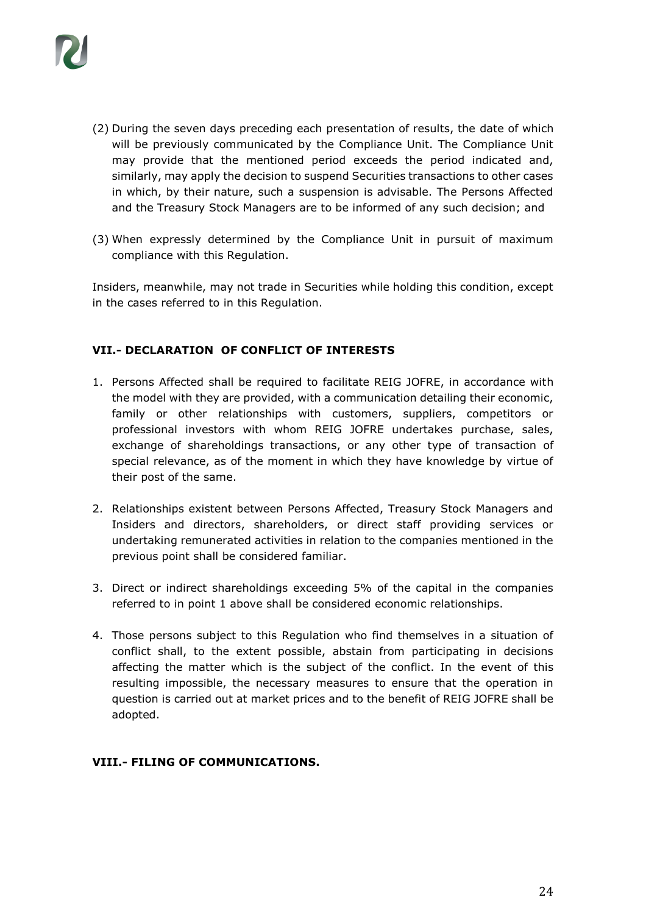

- (2) During the seven days preceding each presentation of results, the date of which will be previously communicated by the Compliance Unit. The Compliance Unit may provide that the mentioned period exceeds the period indicated and, similarly, may apply the decision to suspend Securities transactions to other cases in which, by their nature, such a suspension is advisable. The Persons Affected and the Treasury Stock Managers are to be informed of any such decision; and
- (3) When expressly determined by the Compliance Unit in pursuit of maximum compliance with this Regulation.

Insiders, meanwhile, may not trade in Securities while holding this condition, except in the cases referred to in this Regulation.

#### **VII.- DECLARATION OF CONFLICT OF INTERESTS**

- 1. Persons Affected shall be required to facilitate REIG JOFRE, in accordance with the model with they are provided, with a communication detailing their economic, family or other relationships with customers, suppliers, competitors or professional investors with whom REIG JOFRE undertakes purchase, sales, exchange of shareholdings transactions, or any other type of transaction of special relevance, as of the moment in which they have knowledge by virtue of their post of the same.
- 2. Relationships existent between Persons Affected, Treasury Stock Managers and Insiders and directors, shareholders, or direct staff providing services or undertaking remunerated activities in relation to the companies mentioned in the previous point shall be considered familiar.
- 3. Direct or indirect shareholdings exceeding 5% of the capital in the companies referred to in point 1 above shall be considered economic relationships.
- 4. Those persons subject to this Regulation who find themselves in a situation of conflict shall, to the extent possible, abstain from participating in decisions affecting the matter which is the subject of the conflict. In the event of this resulting impossible, the necessary measures to ensure that the operation in question is carried out at market prices and to the benefit of REIG JOFRE shall be adopted.

#### **VIII.- FILING OF COMMUNICATIONS.**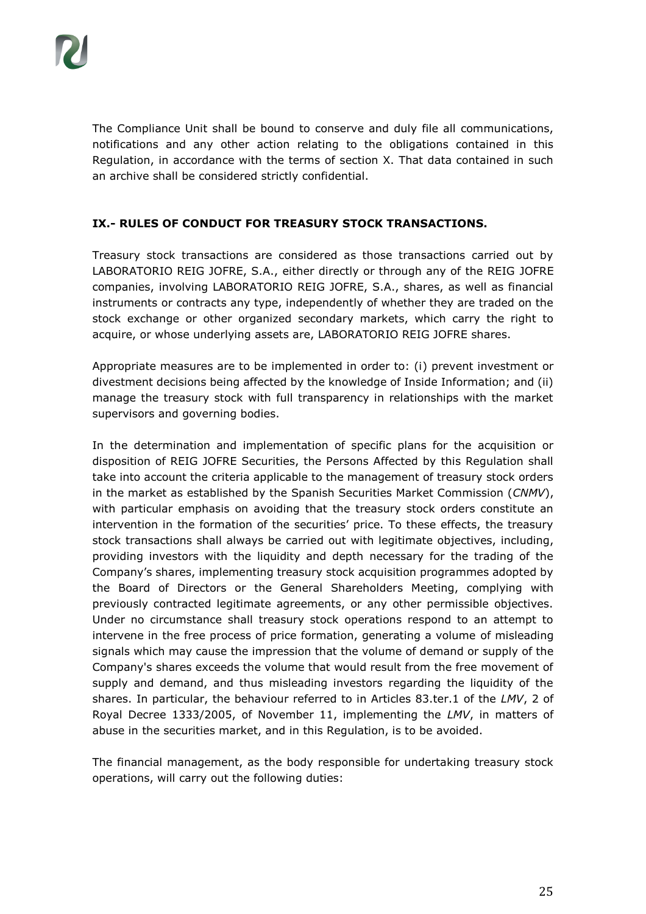The Compliance Unit shall be bound to conserve and duly file all communications, notifications and any other action relating to the obligations contained in this Regulation, in accordance with the terms of section X. That data contained in such an archive shall be considered strictly confidential.

## **IX.- RULES OF CONDUCT FOR TREASURY STOCK TRANSACTIONS.**

Treasury stock transactions are considered as those transactions carried out by LABORATORIO REIG JOFRE, S.A., either directly or through any of the REIG JOFRE companies, involving LABORATORIO REIG JOFRE, S.A., shares, as well as financial instruments or contracts any type, independently of whether they are traded on the stock exchange or other organized secondary markets, which carry the right to acquire, or whose underlying assets are, LABORATORIO REIG JOFRE shares.

Appropriate measures are to be implemented in order to: (i) prevent investment or divestment decisions being affected by the knowledge of Inside Information; and (ii) manage the treasury stock with full transparency in relationships with the market supervisors and governing bodies.

In the determination and implementation of specific plans for the acquisition or disposition of REIG JOFRE Securities, the Persons Affected by this Regulation shall take into account the criteria applicable to the management of treasury stock orders in the market as established by the Spanish Securities Market Commission (*CNMV*), with particular emphasis on avoiding that the treasury stock orders constitute an intervention in the formation of the securities' price. To these effects, the treasury stock transactions shall always be carried out with legitimate objectives, including, providing investors with the liquidity and depth necessary for the trading of the Company's shares, implementing treasury stock acquisition programmes adopted by the Board of Directors or the General Shareholders Meeting, complying with previously contracted legitimate agreements, or any other permissible objectives. Under no circumstance shall treasury stock operations respond to an attempt to intervene in the free process of price formation, generating a volume of misleading signals which may cause the impression that the volume of demand or supply of the Company's shares exceeds the volume that would result from the free movement of supply and demand, and thus misleading investors regarding the liquidity of the shares. In particular, the behaviour referred to in Articles 83.ter.1 of the *LMV*, 2 of Royal Decree 1333/2005, of November 11, implementing the *LMV*, in matters of abuse in the securities market, and in this Regulation, is to be avoided.

The financial management, as the body responsible for undertaking treasury stock operations, will carry out the following duties: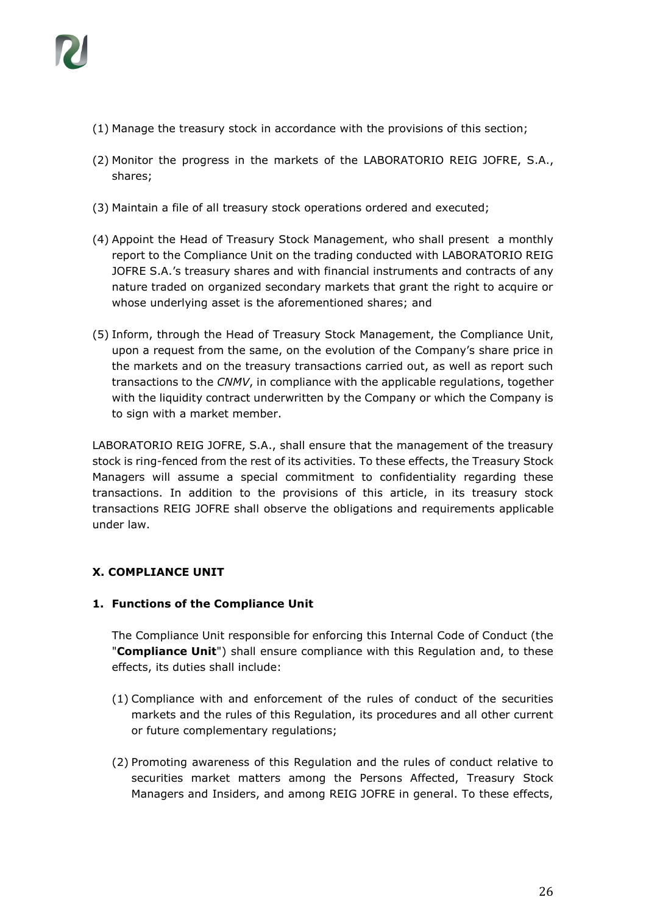

- (1) Manage the treasury stock in accordance with the provisions of this section;
- (2) Monitor the progress in the markets of the LABORATORIO REIG JOFRE, S.A., shares;
- (3) Maintain a file of all treasury stock operations ordered and executed;
- (4) Appoint the Head of Treasury Stock Management, who shall present a monthly report to the Compliance Unit on the trading conducted with LABORATORIO REIG JOFRE S.A.'s treasury shares and with financial instruments and contracts of any nature traded on organized secondary markets that grant the right to acquire or whose underlying asset is the aforementioned shares; and
- (5) Inform, through the Head of Treasury Stock Management, the Compliance Unit, upon a request from the same, on the evolution of the Company's share price in the markets and on the treasury transactions carried out, as well as report such transactions to the *CNMV*, in compliance with the applicable regulations, together with the liquidity contract underwritten by the Company or which the Company is to sign with a market member.

LABORATORIO REIG JOFRE, S.A., shall ensure that the management of the treasury stock is ring-fenced from the rest of its activities. To these effects, the Treasury Stock Managers will assume a special commitment to confidentiality regarding these transactions. In addition to the provisions of this article, in its treasury stock transactions REIG JOFRE shall observe the obligations and requirements applicable under law.

#### **X. COMPLIANCE UNIT**

#### **1. Functions of the Compliance Unit**

The Compliance Unit responsible for enforcing this Internal Code of Conduct (the "**Compliance Unit**") shall ensure compliance with this Regulation and, to these effects, its duties shall include:

- (1) Compliance with and enforcement of the rules of conduct of the securities markets and the rules of this Regulation, its procedures and all other current or future complementary regulations;
- (2) Promoting awareness of this Regulation and the rules of conduct relative to securities market matters among the Persons Affected, Treasury Stock Managers and Insiders, and among REIG JOFRE in general. To these effects,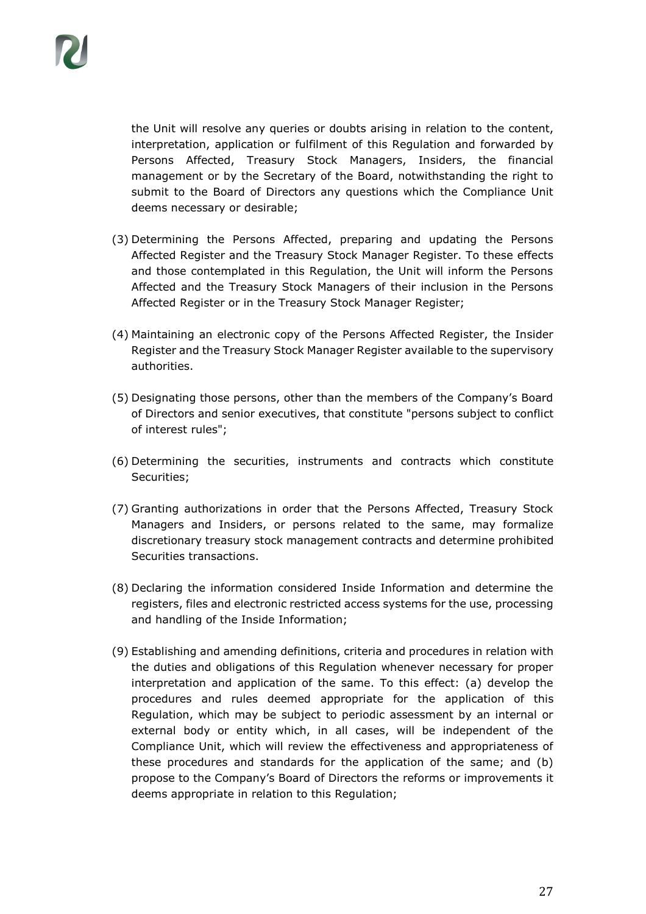

the Unit will resolve any queries or doubts arising in relation to the content, interpretation, application or fulfilment of this Regulation and forwarded by Persons Affected, Treasury Stock Managers, Insiders, the financial management or by the Secretary of the Board, notwithstanding the right to submit to the Board of Directors any questions which the Compliance Unit deems necessary or desirable;

- (3) Determining the Persons Affected, preparing and updating the Persons Affected Register and the Treasury Stock Manager Register. To these effects and those contemplated in this Regulation, the Unit will inform the Persons Affected and the Treasury Stock Managers of their inclusion in the Persons Affected Register or in the Treasury Stock Manager Register;
- (4) Maintaining an electronic copy of the Persons Affected Register, the Insider Register and the Treasury Stock Manager Register available to the supervisory authorities.
- (5) Designating those persons, other than the members of the Company's Board of Directors and senior executives, that constitute "persons subject to conflict of interest rules";
- (6) Determining the securities, instruments and contracts which constitute Securities;
- (7) Granting authorizations in order that the Persons Affected, Treasury Stock Managers and Insiders, or persons related to the same, may formalize discretionary treasury stock management contracts and determine prohibited Securities transactions.
- (8) Declaring the information considered Inside Information and determine the registers, files and electronic restricted access systems for the use, processing and handling of the Inside Information;
- (9) Establishing and amending definitions, criteria and procedures in relation with the duties and obligations of this Regulation whenever necessary for proper interpretation and application of the same. To this effect: (a) develop the procedures and rules deemed appropriate for the application of this Regulation, which may be subject to periodic assessment by an internal or external body or entity which, in all cases, will be independent of the Compliance Unit, which will review the effectiveness and appropriateness of these procedures and standards for the application of the same; and (b) propose to the Company's Board of Directors the reforms or improvements it deems appropriate in relation to this Regulation;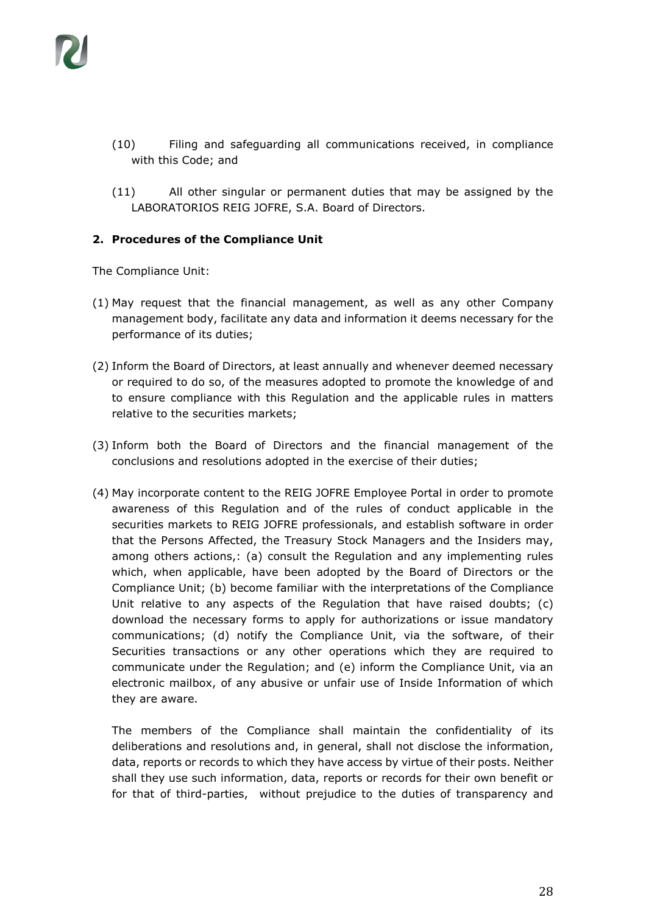- (10) Filing and safeguarding all communications received, in compliance with this Code; and
- (11) All other singular or permanent duties that may be assigned by the LABORATORIOS REIG JOFRE, S.A. Board of Directors.

#### **2. Procedures of the Compliance Unit**

The Compliance Unit:

- (1) May request that the financial management, as well as any other Company management body, facilitate any data and information it deems necessary for the performance of its duties;
- (2) Inform the Board of Directors, at least annually and whenever deemed necessary or required to do so, of the measures adopted to promote the knowledge of and to ensure compliance with this Regulation and the applicable rules in matters relative to the securities markets;
- (3) Inform both the Board of Directors and the financial management of the conclusions and resolutions adopted in the exercise of their duties;
- (4) May incorporate content to the REIG JOFRE Employee Portal in order to promote awareness of this Regulation and of the rules of conduct applicable in the securities markets to REIG JOFRE professionals, and establish software in order that the Persons Affected, the Treasury Stock Managers and the Insiders may, among others actions,: (a) consult the Regulation and any implementing rules which, when applicable, have been adopted by the Board of Directors or the Compliance Unit; (b) become familiar with the interpretations of the Compliance Unit relative to any aspects of the Regulation that have raised doubts; (c) download the necessary forms to apply for authorizations or issue mandatory communications; (d) notify the Compliance Unit, via the software, of their Securities transactions or any other operations which they are required to communicate under the Regulation; and (e) inform the Compliance Unit, via an electronic mailbox, of any abusive or unfair use of Inside Information of which they are aware.

The members of the Compliance shall maintain the confidentiality of its deliberations and resolutions and, in general, shall not disclose the information, data, reports or records to which they have access by virtue of their posts. Neither shall they use such information, data, reports or records for their own benefit or for that of third-parties, without prejudice to the duties of transparency and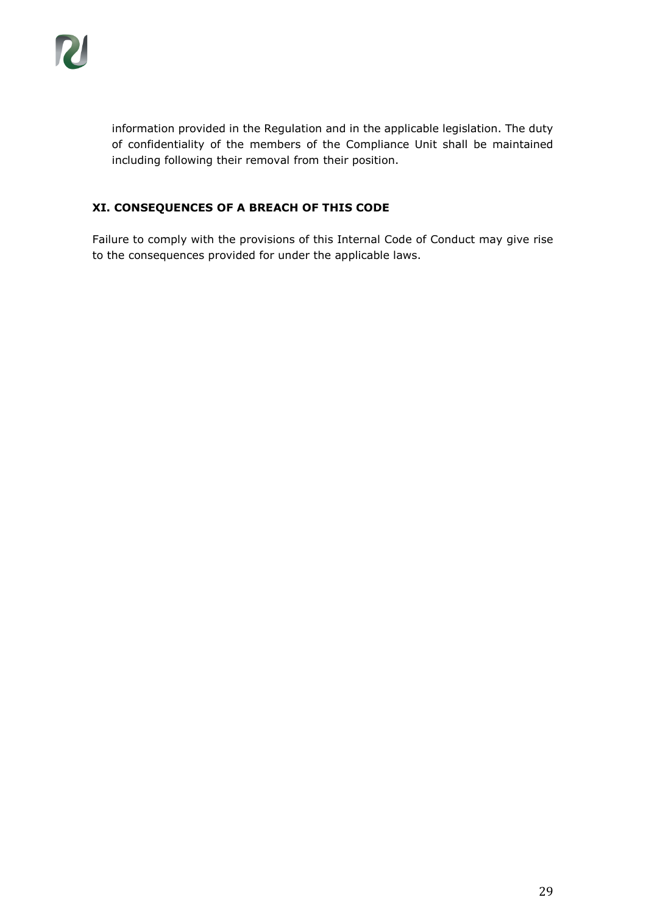information provided in the Regulation and in the applicable legislation. The duty of confidentiality of the members of the Compliance Unit shall be maintained including following their removal from their position.

# **XI. CONSEQUENCES OF A BREACH OF THIS CODE**

Failure to comply with the provisions of this Internal Code of Conduct may give rise to the consequences provided for under the applicable laws.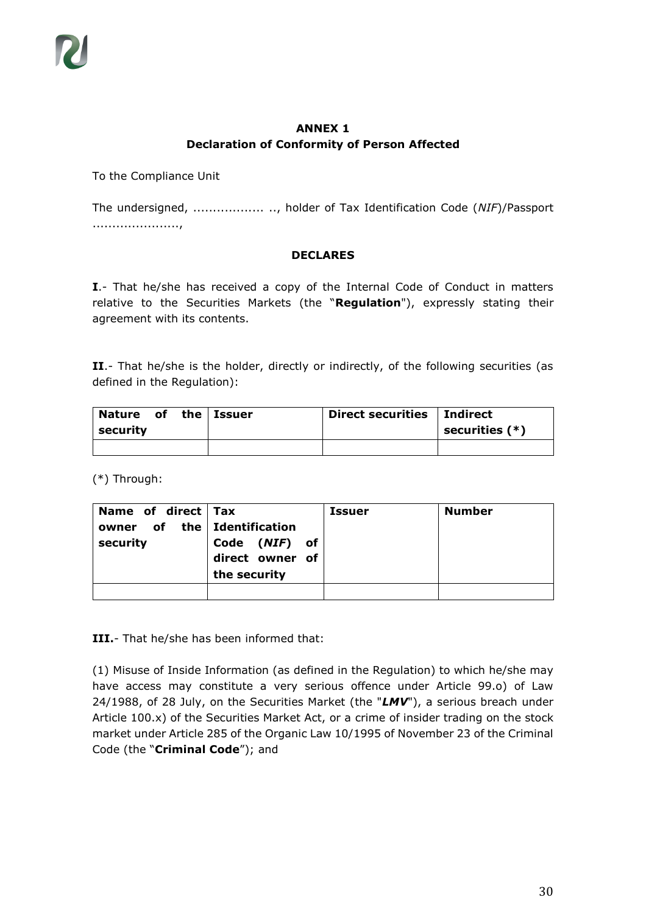## **ANNEX 1 Declaration of Conformity of Person Affected**

To the Compliance Unit

The undersigned, .................. .., holder of Tax Identification Code (*NIF*)/Passport ......................,

## **DECLARES**

**I**.- That he/she has received a copy of the Internal Code of Conduct in matters relative to the Securities Markets (the "**Regulation**"), expressly stating their agreement with its contents.

II.- That he/she is the holder, directly or indirectly, of the following securities (as defined in the Regulation):

| Nature of the Issuer |  | Direct securities   Indirect |                  |
|----------------------|--|------------------------------|------------------|
| security             |  |                              | securities $(*)$ |
|                      |  |                              |                  |

(\*) Through:

| Name of direct Tax<br>owner of the Identification<br>security | Code (NIF) of<br>direct owner of<br>the security | <b>Issuer</b> | <b>Number</b> |
|---------------------------------------------------------------|--------------------------------------------------|---------------|---------------|
|                                                               |                                                  |               |               |

**III.**- That he/she has been informed that:

(1) Misuse of Inside Information (as defined in the Regulation) to which he/she may have access may constitute a very serious offence under Article 99.o) of Law 24/1988, of 28 July, on the Securities Market (the "*LMV*"), a serious breach under Article 100.x) of the Securities Market Act, or a crime of insider trading on the stock market under Article 285 of the Organic Law 10/1995 of November 23 of the Criminal Code (the "**Criminal Code**"); and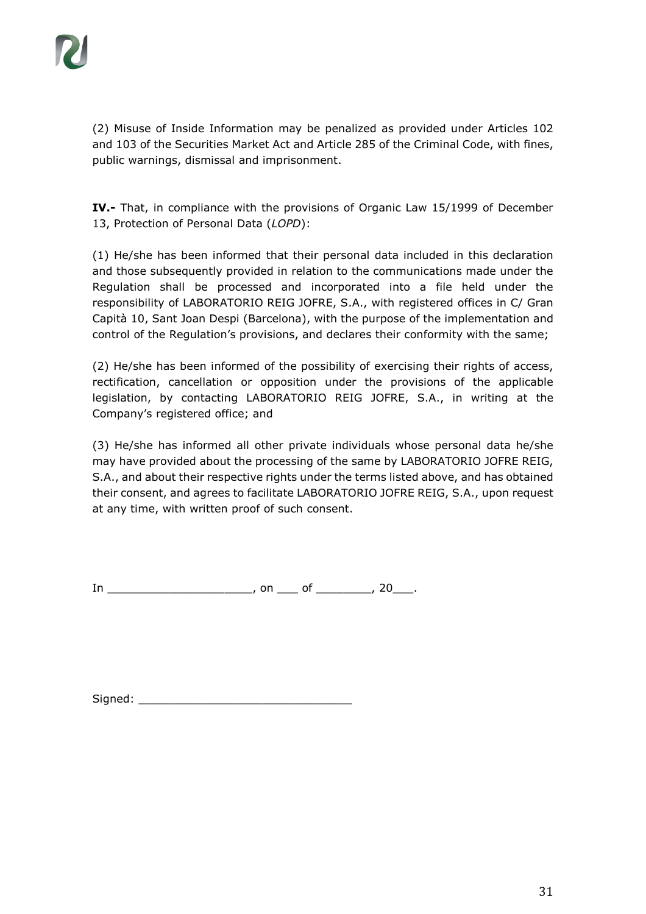(2) Misuse of Inside Information may be penalized as provided under Articles 102 and 103 of the Securities Market Act and Article 285 of the Criminal Code, with fines, public warnings, dismissal and imprisonment.

**IV.-** That, in compliance with the provisions of Organic Law 15/1999 of December 13, Protection of Personal Data (*LOPD*):

(1) He/she has been informed that their personal data included in this declaration and those subsequently provided in relation to the communications made under the Regulation shall be processed and incorporated into a file held under the responsibility of LABORATORIO REIG JOFRE, S.A., with registered offices in C/ Gran Capità 10, Sant Joan Despi (Barcelona), with the purpose of the implementation and control of the Regulation's provisions, and declares their conformity with the same;

(2) He/she has been informed of the possibility of exercising their rights of access, rectification, cancellation or opposition under the provisions of the applicable legislation, by contacting LABORATORIO REIG JOFRE, S.A., in writing at the Company's registered office; and

(3) He/she has informed all other private individuals whose personal data he/she may have provided about the processing of the same by LABORATORIO JOFRE REIG, S.A., and about their respective rights under the terms listed above, and has obtained their consent, and agrees to facilitate LABORATORIO JOFRE REIG, S.A., upon request at any time, with written proof of such consent.

In \_\_\_\_\_\_\_\_\_\_\_\_\_\_\_\_\_\_\_\_\_\_\_\_, on \_\_\_\_ of \_\_\_\_\_\_\_\_, 20\_\_\_.

Signed: \_\_\_\_\_\_\_\_\_\_\_\_\_\_\_\_\_\_\_\_\_\_\_\_\_\_\_\_\_\_\_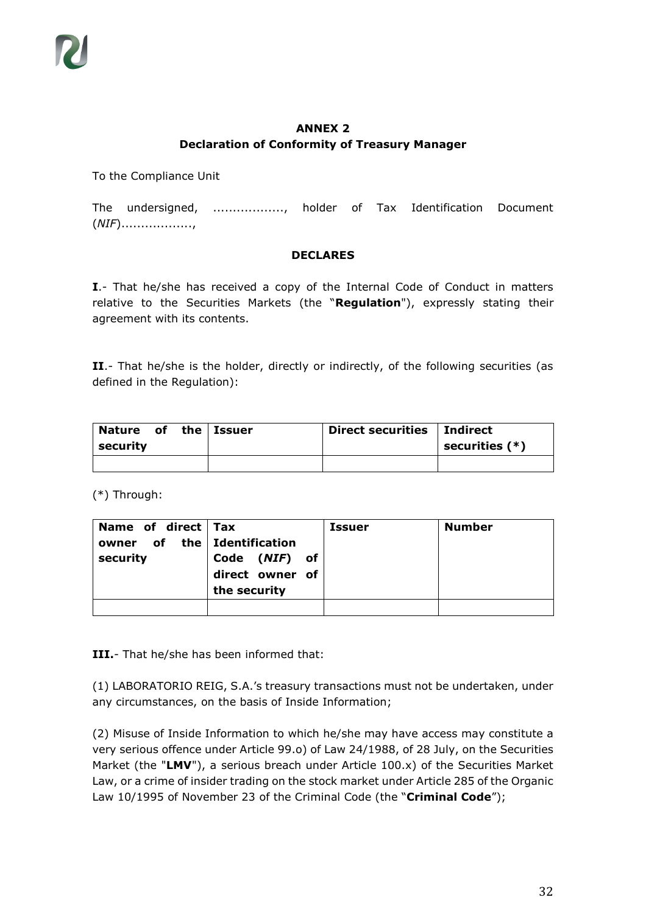## **ANNEX 2 Declaration of Conformity of Treasury Manager**

To the Compliance Unit

The undersigned, .................., holder of Tax Identification Document (*NIF*)..................,

#### **DECLARES**

**I**.- That he/she has received a copy of the Internal Code of Conduct in matters relative to the Securities Markets (the "**Regulation**"), expressly stating their agreement with its contents.

II.- That he/she is the holder, directly or indirectly, of the following securities (as defined in the Regulation):

| Nature of the Issuer |  | Direct securities   Indirect |                  |
|----------------------|--|------------------------------|------------------|
| security             |  |                              | securities $(*)$ |
|                      |  |                              |                  |

(\*) Through:

| Name of direct Tax<br>owner of the Identification<br>security | Code ( <i>NIF</i> ) of<br>direct owner of | <b>Issuer</b> | <b>Number</b> |
|---------------------------------------------------------------|-------------------------------------------|---------------|---------------|
|                                                               | the security                              |               |               |
|                                                               |                                           |               |               |

**III.**- That he/she has been informed that:

(1) LABORATORIO REIG, S.A.'s treasury transactions must not be undertaken, under any circumstances, on the basis of Inside Information;

(2) Misuse of Inside Information to which he/she may have access may constitute a very serious offence under Article 99.o) of Law 24/1988, of 28 July, on the Securities Market (the "**LMV**"), a serious breach under Article 100.x) of the Securities Market Law, or a crime of insider trading on the stock market under Article 285 of the Organic Law 10/1995 of November 23 of the Criminal Code (the "**Criminal Code**");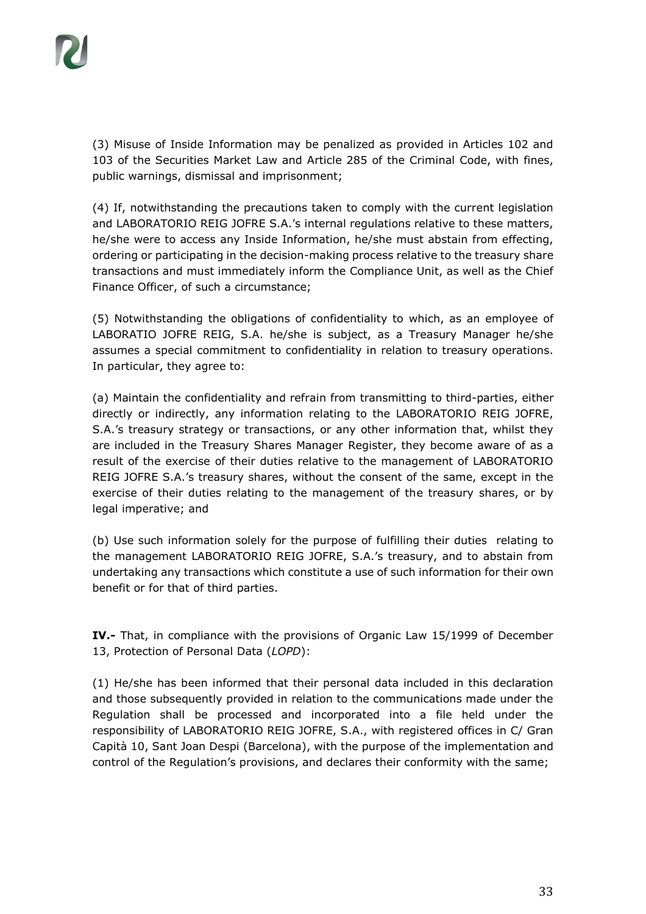(3) Misuse of Inside Information may be penalized as provided in Articles 102 and 103 of the Securities Market Law and Article 285 of the Criminal Code, with fines, public warnings, dismissal and imprisonment;

(4) If, notwithstanding the precautions taken to comply with the current legislation and LABORATORIO REIG JOFRE S.A.'s internal regulations relative to these matters, he/she were to access any Inside Information, he/she must abstain from effecting, ordering or participating in the decision-making process relative to the treasury share transactions and must immediately inform the Compliance Unit, as well as the Chief Finance Officer, of such a circumstance;

(5) Notwithstanding the obligations of confidentiality to which, as an employee of LABORATIO JOFRE REIG, S.A. he/she is subject, as a Treasury Manager he/she assumes a special commitment to confidentiality in relation to treasury operations. In particular, they agree to:

(a) Maintain the confidentiality and refrain from transmitting to third-parties, either directly or indirectly, any information relating to the LABORATORIO REIG JOFRE, S.A.'s treasury strategy or transactions, or any other information that, whilst they are included in the Treasury Shares Manager Register, they become aware of as a result of the exercise of their duties relative to the management of LABORATORIO REIG JOFRE S.A.'s treasury shares, without the consent of the same, except in the exercise of their duties relating to the management of the treasury shares, or by legal imperative; and

(b) Use such information solely for the purpose of fulfilling their duties relating to the management LABORATORIO REIG JOFRE, S.A.'s treasury, and to abstain from undertaking any transactions which constitute a use of such information for their own benefit or for that of third parties.

**IV.-** That, in compliance with the provisions of Organic Law 15/1999 of December 13, Protection of Personal Data (*LOPD*):

(1) He/she has been informed that their personal data included in this declaration and those subsequently provided in relation to the communications made under the Regulation shall be processed and incorporated into a file held under the responsibility of LABORATORIO REIG JOFRE, S.A., with registered offices in C/ Gran Capità 10, Sant Joan Despi (Barcelona), with the purpose of the implementation and control of the Regulation's provisions, and declares their conformity with the same;